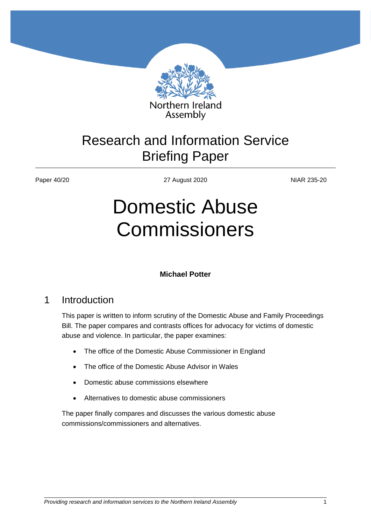

Assembly

## Research and Information Service Briefing Paper

Paper 40/20 27 August 2020 2010 2010 27 August 2020

# Domestic Abuse Commissioners

#### **Michael Potter**

## 1 Introduction

This paper is written to inform scrutiny of the Domestic Abuse and Family Proceedings Bill. The paper compares and contrasts offices for advocacy for victims of domestic abuse and violence. In particular, the paper examines:

- The office of the Domestic Abuse Commissioner in England
- The office of the Domestic Abuse Advisor in Wales
- Domestic abuse commissions elsewhere
- Alternatives to domestic abuse commissioners

The paper finally compares and discusses the various domestic abuse commissions/commissioners and alternatives.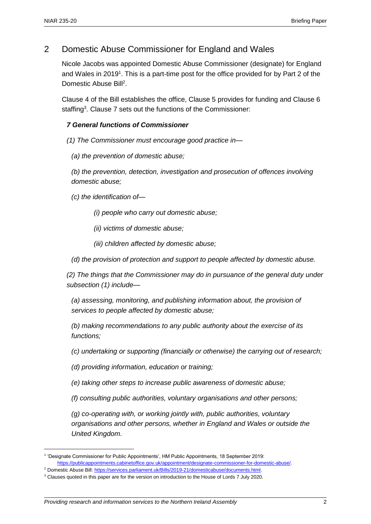## 2 Domestic Abuse Commissioner for England and Wales

Nicole Jacobs was appointed Domestic Abuse Commissioner (designate) for England and Wales in 2019<sup>1</sup>. This is a part-time post for the office provided for by Part 2 of the Domestic Abuse Bill<sup>2</sup>.

Clause 4 of the Bill establishes the office, Clause 5 provides for funding and Clause 6 staffing<sup>3</sup>. Clause 7 sets out the functions of the Commissioner:

#### *7 General functions of Commissioner*

*(1) The Commissioner must encourage good practice in—*

*(a) the prevention of domestic abuse;*

*(b) the prevention, detection, investigation and prosecution of offences involving domestic abuse;*

*(c) the identification of—*

*(i) people who carry out domestic abuse;*

*(ii) victims of domestic abuse;*

*(iii) children affected by domestic abuse;*

*(d) the provision of protection and support to people affected by domestic abuse.*

*(2) The things that the Commissioner may do in pursuance of the general duty under subsection (1) include—*

*(a) assessing, monitoring, and publishing information about, the provision of services to people affected by domestic abuse;*

*(b) making recommendations to any public authority about the exercise of its functions;*

*(c) undertaking or supporting (financially or otherwise) the carrying out of research;*

*(d) providing information, education or training;*

*(e) taking other steps to increase public awareness of domestic abuse;*

*(f) consulting public authorities, voluntary organisations and other persons;*

*(g) co-operating with, or working jointly with, public authorities, voluntary organisations and other persons, whether in England and Wales or outside the United Kingdom.*

<sup>1</sup> 'Designate Commissioner for Public Appointments', HM Public Appointments, 18 September 2019: [https://publicappointments.cabinetoffice.gov.uk/appointment/designate-commissioner-for-domestic-abuse/.](https://publicappointments.cabinetoffice.gov.uk/appointment/designate-commissioner-for-domestic-abuse/) 

<sup>2</sup> Domestic Abuse Bill[: https://services.parliament.uk/Bills/2019-21/domesticabuse/documents.html.](https://services.parliament.uk/Bills/2019-21/domesticabuse/documents.html) 

<sup>&</sup>lt;sup>3</sup> Clauses quoted in this paper are for the version on introduction to the House of Lords 7 July 2020.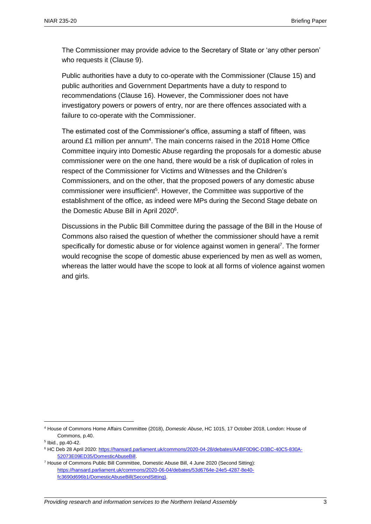The Commissioner may provide advice to the Secretary of State or 'any other person' who requests it (Clause 9).

Public authorities have a duty to co-operate with the Commissioner (Clause 15) and public authorities and Government Departments have a duty to respond to recommendations (Clause 16). However, the Commissioner does not have investigatory powers or powers of entry, nor are there offences associated with a failure to co-operate with the Commissioner.

The estimated cost of the Commissioner's office, assuming a staff of fifteen, was around £1 million per annum<sup>4</sup>. The main concerns raised in the 2018 Home Office Committee inquiry into Domestic Abuse regarding the proposals for a domestic abuse commissioner were on the one hand, there would be a risk of duplication of roles in respect of the Commissioner for Victims and Witnesses and the Children's Commissioners, and on the other, that the proposed powers of any domestic abuse commissioner were insufficient<sup>5</sup>. However, the Committee was supportive of the establishment of the office, as indeed were MPs during the Second Stage debate on the Domestic Abuse Bill in April 2020<sup>6</sup>.

Discussions in the Public Bill Committee during the passage of the Bill in the House of Commons also raised the question of whether the commissioner should have a remit specifically for domestic abuse or for violence against women in general<sup>7</sup>. The former would recognise the scope of domestic abuse experienced by men as well as women, whereas the latter would have the scope to look at all forms of violence against women and girls.

 $\overline{a}$ 

<sup>4</sup> House of Commons Home Affairs Committee (2018), *Domestic Abuse*, HC 1015, 17 October 2018, London: House of Commons, p.40.

<sup>5</sup> Ibid., pp.40-42.

<sup>6</sup> HC Deb 28 April 2020[: https://hansard.parliament.uk/commons/2020-04-28/debates/AABF0D9C-D3BC-40C5-830A-](https://hansard.parliament.uk/commons/2020-04-28/debates/AABF0D9C-D3BC-40C5-830A-52073E09ED35/DomesticAbuseBill)[52073E09ED35/DomesticAbuseBill.](https://hansard.parliament.uk/commons/2020-04-28/debates/AABF0D9C-D3BC-40C5-830A-52073E09ED35/DomesticAbuseBill)

 $7$  House of Commons Public Bill Committee, Domestic Abuse Bill, 4 June 2020 (Second Sitting): [https://hansard.parliament.uk/commons/2020-06-04/debates/53d6764e-24e5-4287-8e40](https://hansard.parliament.uk/commons/2020-06-04/debates/53d6764e-24e5-4287-8e40-fc3690d696b1/DomesticAbuseBill(SecondSitting)) [fc3690d696b1/DomesticAbuseBill\(SecondSitting\).](https://hansard.parliament.uk/commons/2020-06-04/debates/53d6764e-24e5-4287-8e40-fc3690d696b1/DomesticAbuseBill(SecondSitting))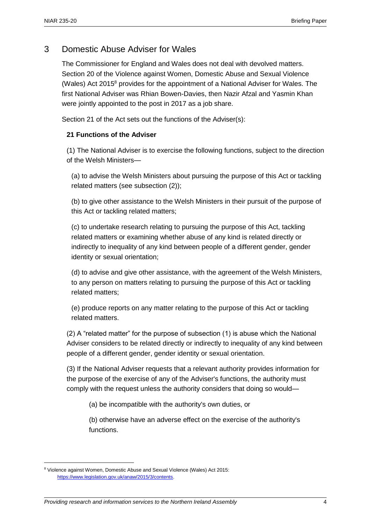## 3 Domestic Abuse Adviser for Wales

The Commissioner for England and Wales does not deal with devolved matters. Section 20 of the Violence against Women, Domestic Abuse and Sexual Violence (Wales) Act 2015<sup>8</sup> provides for the appointment of a National Adviser for Wales. The first National Adviser was Rhian Bowen-Davies, then Nazir Afzal and Yasmin Khan were jointly appointed to the post in 2017 as a job share.

Section 21 of the Act sets out the functions of the Adviser(s):

#### **21 Functions of the Adviser**

(1) The National Adviser is to exercise the following functions, subject to the direction of the Welsh Ministers—

(a) to advise the Welsh Ministers about pursuing the purpose of this Act or tackling related matters (see subsection (2));

(b) to give other assistance to the Welsh Ministers in their pursuit of the purpose of this Act or tackling related matters;

(c) to undertake research relating to pursuing the purpose of this Act, tackling related matters or examining whether abuse of any kind is related directly or indirectly to inequality of any kind between people of a different gender, gender identity or sexual orientation;

(d) to advise and give other assistance, with the agreement of the Welsh Ministers, to any person on matters relating to pursuing the purpose of this Act or tackling related matters;

(e) produce reports on any matter relating to the purpose of this Act or tackling related matters.

(2) A "related matter" for the purpose of subsection (1) is abuse which the National Adviser considers to be related directly or indirectly to inequality of any kind between people of a different gender, gender identity or sexual orientation.

(3) If the National Adviser requests that a relevant authority provides information for the purpose of the exercise of any of the Adviser's functions, the authority must comply with the request unless the authority considers that doing so would—

(a) be incompatible with the authority's own duties, or

(b) otherwise have an adverse effect on the exercise of the authority's functions.

 $\overline{a}$ 

<sup>8</sup> Violence against Women, Domestic Abuse and Sexual Violence (Wales) Act 2015: [https://www.legislation.gov.uk/anaw/2015/3/contents.](https://www.legislation.gov.uk/anaw/2015/3/contents)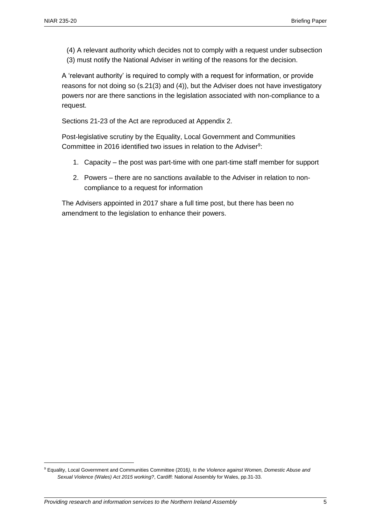(4) A relevant authority which decides not to comply with a request under subsection (3) must notify the National Adviser in writing of the reasons for the decision.

A 'relevant authority' is required to comply with a request for information, or provide reasons for not doing so (s.21(3) and (4)), but the Adviser does not have investigatory powers nor are there sanctions in the legislation associated with non-compliance to a request.

Sections 21-23 of the Act are reproduced at Appendix 2.

Post-legislative scrutiny by the Equality, Local Government and Communities Committee in 2016 identified two issues in relation to the Adviser $9$ :

- 1. Capacity the post was part-time with one part-time staff member for support
- 2. Powers there are no sanctions available to the Adviser in relation to noncompliance to a request for information

The Advisers appointed in 2017 share a full time post, but there has been no amendment to the legislation to enhance their powers.

<sup>9</sup> Equality, Local Government and Communities Committee (2016*), Is the Violence against Women, Domestic Abuse and Sexual Violence (Wales) Act 2015 working?*, Cardiff: National Assembly for Wales, pp.31-33.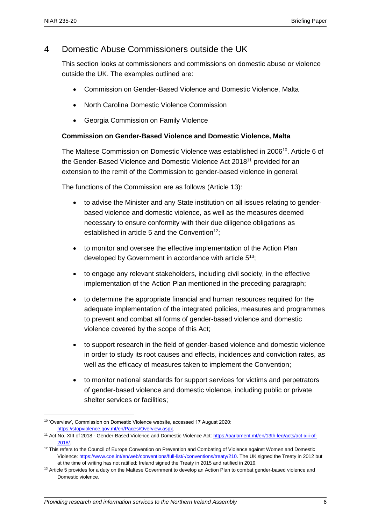## 4 Domestic Abuse Commissioners outside the UK

This section looks at commissioners and commissions on domestic abuse or violence outside the UK. The examples outlined are:

- Commission on Gender-Based Violence and Domestic Violence, Malta
- North Carolina Domestic Violence Commission
- Georgia Commission on Family Violence

#### **Commission on Gender-Based Violence and Domestic Violence, Malta**

The Maltese Commission on Domestic Violence was established in 2006<sup>10</sup>. Article 6 of the Gender-Based Violence and Domestic Violence Act 2018<sup>11</sup> provided for an extension to the remit of the Commission to gender-based violence in general.

The functions of the Commission are as follows (Article 13):

- to advise the Minister and any State institution on all issues relating to genderbased violence and domestic violence, as well as the measures deemed necessary to ensure conformity with their due diligence obligations as established in article 5 and the Convention<sup>12</sup>:
- to monitor and oversee the effective implementation of the Action Plan developed by Government in accordance with article 5<sup>13</sup>;
- to engage any relevant stakeholders, including civil society, in the effective implementation of the Action Plan mentioned in the preceding paragraph;
- to determine the appropriate financial and human resources required for the adequate implementation of the integrated policies, measures and programmes to prevent and combat all forms of gender-based violence and domestic violence covered by the scope of this Act;
- to support research in the field of gender-based violence and domestic violence in order to study its root causes and effects, incidences and conviction rates, as well as the efficacy of measures taken to implement the Convention;
- to monitor national standards for support services for victims and perpetrators of gender-based violence and domestic violence, including public or private shelter services or facilities;

<sup>10</sup> 'Overview', Commission on Domestic Violence website, accessed 17 August 2020: [https://stopviolence.gov.mt/en/Pages/Overview.aspx.](https://stopviolence.gov.mt/en/Pages/Overview.aspx) 

<sup>&</sup>lt;sup>11</sup> Act No. XIII of 2018 - Gender-Based Violence and Domestic Violence Act[: https://parlament.mt/en/13th-leg/acts/act-xiii-of-](https://parlament.mt/en/13th-leg/acts/act-xiii-of-2018/)[2018/.](https://parlament.mt/en/13th-leg/acts/act-xiii-of-2018/)

<sup>&</sup>lt;sup>12</sup> This refers to the Council of Europe Convention on Prevention and Combating of Violence against Women and Domestic Violence[: https://www.coe.int/en/web/conventions/full-list/-/conventions/treaty/210.](https://www.coe.int/en/web/conventions/full-list/-/conventions/treaty/210) The UK signed the Treaty in 2012 but at the time of writing has not ratified; Ireland signed the Treaty in 2015 and ratified in 2019.

<sup>&</sup>lt;sup>13</sup> Article 5 provides for a duty on the Maltese Government to develop an Action Plan to combat gender-based violence and Domestic violence.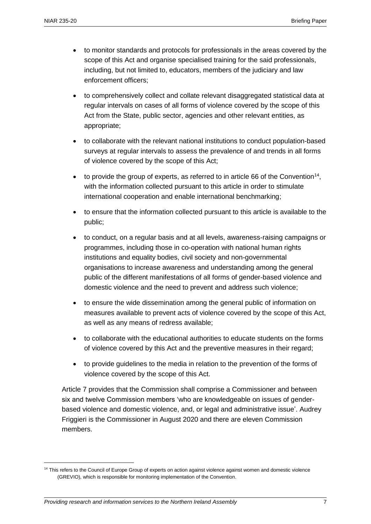- to monitor standards and protocols for professionals in the areas covered by the scope of this Act and organise specialised training for the said professionals, including, but not limited to, educators, members of the judiciary and law enforcement officers;
- to comprehensively collect and collate relevant disaggregated statistical data at regular intervals on cases of all forms of violence covered by the scope of this Act from the State, public sector, agencies and other relevant entities, as appropriate;
- to collaborate with the relevant national institutions to conduct population-based surveys at regular intervals to assess the prevalence of and trends in all forms of violence covered by the scope of this Act;
- $\bullet$  to provide the group of experts, as referred to in article 66 of the Convention<sup>14</sup>, with the information collected pursuant to this article in order to stimulate international cooperation and enable international benchmarking;
- to ensure that the information collected pursuant to this article is available to the public;
- to conduct, on a regular basis and at all levels, awareness-raising campaigns or programmes, including those in co-operation with national human rights institutions and equality bodies, civil society and non-governmental organisations to increase awareness and understanding among the general public of the different manifestations of all forms of gender-based violence and domestic violence and the need to prevent and address such violence;
- to ensure the wide dissemination among the general public of information on measures available to prevent acts of violence covered by the scope of this Act, as well as any means of redress available;
- to collaborate with the educational authorities to educate students on the forms of violence covered by this Act and the preventive measures in their regard;
- to provide guidelines to the media in relation to the prevention of the forms of violence covered by the scope of this Act.

Article 7 provides that the Commission shall comprise a Commissioner and between six and twelve Commission members 'who are knowledgeable on issues of genderbased violence and domestic violence, and, or legal and administrative issue'. Audrey Friggieri is the Commissioner in August 2020 and there are eleven Commission members.

<sup>&</sup>lt;sup>14</sup> This refers to the Council of Europe Group of experts on action against violence against women and domestic violence (GREVIO), which is responsible for monitoring implementation of the Convention.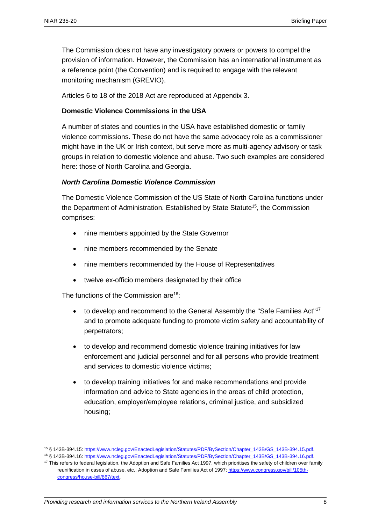The Commission does not have any investigatory powers or powers to compel the provision of information. However, the Commission has an international instrument as a reference point (the Convention) and is required to engage with the relevant monitoring mechanism (GREVIO).

Articles 6 to 18 of the 2018 Act are reproduced at Appendix 3.

#### **Domestic Violence Commissions in the USA**

A number of states and counties in the USA have established domestic or family violence commissions. These do not have the same advocacy role as a commissioner might have in the UK or Irish context, but serve more as multi-agency advisory or task groups in relation to domestic violence and abuse. Two such examples are considered here: those of North Carolina and Georgia.

#### *North Carolina Domestic Violence Commission*

The Domestic Violence Commission of the US State of North Carolina functions under the Department of Administration. Established by State Statute<sup>15</sup>, the Commission comprises:

- nine members appointed by the State Governor
- nine members recommended by the Senate
- nine members recommended by the House of Representatives
- twelve ex-officio members designated by their office

The functions of the Commission are<sup>16</sup>:

- to develop and recommend to the General Assembly the "Safe Families Act"<sup>17</sup> and to promote adequate funding to promote victim safety and accountability of perpetrators;
- to develop and recommend domestic violence training initiatives for law enforcement and judicial personnel and for all persons who provide treatment and services to domestic violence victims;
- to develop training initiatives for and make recommendations and provide information and advice to State agencies in the areas of child protection, education, employer/employee relations, criminal justice, and subsidized housing;

<sup>15</sup> § 143B-394.15[: https://www.ncleg.gov/EnactedLegislation/Statutes/PDF/BySection/Chapter\\_143B/GS\\_143B-394.15.pdf.](https://www.ncleg.gov/EnactedLegislation/Statutes/PDF/BySection/Chapter_143B/GS_143B-394.15.pdf) 

<sup>16</sup> § 143B-394.16[: https://www.ncleg.gov/EnactedLegislation/Statutes/PDF/BySection/Chapter\\_143B/GS\\_143B-394.16.pdf.](https://www.ncleg.gov/EnactedLegislation/Statutes/PDF/BySection/Chapter_143B/GS_143B-394.16.pdf) 

<sup>&</sup>lt;sup>17</sup> This refers to federal legislation, the Adoption and Safe Families Act 1997, which prioritises the safety of children over family reunification in cases of abuse, etc.: Adoption and Safe Families Act of 1997[: https://www.congress.gov/bill/105th](https://www.congress.gov/bill/105th-congress/house-bill/867/text)[congress/house-bill/867/text.](https://www.congress.gov/bill/105th-congress/house-bill/867/text)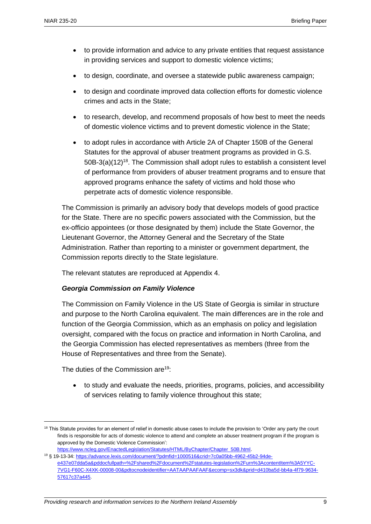- to provide information and advice to any private entities that request assistance in providing services and support to domestic violence victims;
- to design, coordinate, and oversee a statewide public awareness campaign;
- to design and coordinate improved data collection efforts for domestic violence crimes and acts in the State;
- to research, develop, and recommend proposals of how best to meet the needs of domestic violence victims and to prevent domestic violence in the State;
- to adopt rules in accordance with Article 2A of Chapter 150B of the General Statutes for the approval of abuser treatment programs as provided in G.S.  $50B-3(a)(12)<sup>18</sup>$ . The Commission shall adopt rules to establish a consistent level of performance from providers of abuser treatment programs and to ensure that approved programs enhance the safety of victims and hold those who perpetrate acts of domestic violence responsible.

The Commission is primarily an advisory body that develops models of good practice for the State. There are no specific powers associated with the Commission, but the ex-officio appointees (or those designated by them) include the State Governor, the Lieutenant Governor, the Attorney General and the Secretary of the State Administration. Rather than reporting to a minister or government department, the Commission reports directly to the State legislature.

The relevant statutes are reproduced at Appendix 4.

#### *Georgia Commission on Family Violence*

The Commission on Family Violence in the US State of Georgia is similar in structure and purpose to the North Carolina equivalent. The main differences are in the role and function of the Georgia Commission, which as an emphasis on policy and legislation oversight, compared with the focus on practice and information in North Carolina, and the Georgia Commission has elected representatives as members (three from the House of Representatives and three from the Senate).

The duties of the Commission are<sup>19</sup>:

 $\overline{a}$ 

 to study and evaluate the needs, priorities, programs, policies, and accessibility of services relating to family violence throughout this state;

<sup>&</sup>lt;sup>18</sup> This Statute provides for an element of relief in domestic abuse cases to include the provision to 'Order any party the court finds is responsible for acts of domestic violence to attend and complete an abuser treatment program if the program is approved by the Domestic Violence Commission':

[https://www.ncleg.gov/EnactedLegislation/Statutes/HTML/ByChapter/Chapter\\_50B.html.](https://www.ncleg.gov/EnactedLegislation/Statutes/HTML/ByChapter/Chapter_50B.html) <sup>19</sup> § 19-13-34: [https://advance.lexis.com/document/?pdmfid=1000516&crid=7c0a05bb-4962-45b2-94de-](https://advance.lexis.com/document/?pdmfid=1000516&crid=7c0a05bb-4962-45b2-94de-e437e07dda5a&pddocfullpath=%2Fshared%2Fdocument%2Fstatutes-legislation%2Furn%3AcontentItem%3A5YYC-7VG1-F60C-X4XK-00008-00&pdtocnodeidentifier=AATAAPAAFAAF&ecomp=sx3dk&prid=d410ba5d-bb4a-4f79-9634-57617c37a445)

[e437e07dda5a&pddocfullpath=%2Fshared%2Fdocument%2Fstatutes-legislation%2Furn%3AcontentItem%3A5YYC-](https://advance.lexis.com/document/?pdmfid=1000516&crid=7c0a05bb-4962-45b2-94de-e437e07dda5a&pddocfullpath=%2Fshared%2Fdocument%2Fstatutes-legislation%2Furn%3AcontentItem%3A5YYC-7VG1-F60C-X4XK-00008-00&pdtocnodeidentifier=AATAAPAAFAAF&ecomp=sx3dk&prid=d410ba5d-bb4a-4f79-9634-57617c37a445)[7VG1-F60C-X4XK-00008-00&pdtocnodeidentifier=AATAAPAAFAAF&ecomp=sx3dk&prid=d410ba5d-bb4a-4f79-9634-](https://advance.lexis.com/document/?pdmfid=1000516&crid=7c0a05bb-4962-45b2-94de-e437e07dda5a&pddocfullpath=%2Fshared%2Fdocument%2Fstatutes-legislation%2Furn%3AcontentItem%3A5YYC-7VG1-F60C-X4XK-00008-00&pdtocnodeidentifier=AATAAPAAFAAF&ecomp=sx3dk&prid=d410ba5d-bb4a-4f79-9634-57617c37a445) [57617c37a445.](https://advance.lexis.com/document/?pdmfid=1000516&crid=7c0a05bb-4962-45b2-94de-e437e07dda5a&pddocfullpath=%2Fshared%2Fdocument%2Fstatutes-legislation%2Furn%3AcontentItem%3A5YYC-7VG1-F60C-X4XK-00008-00&pdtocnodeidentifier=AATAAPAAFAAF&ecomp=sx3dk&prid=d410ba5d-bb4a-4f79-9634-57617c37a445)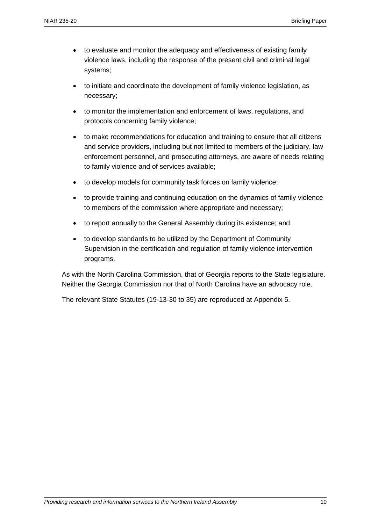- to evaluate and monitor the adequacy and effectiveness of existing family violence laws, including the response of the present civil and criminal legal systems;
- to initiate and coordinate the development of family violence legislation, as necessary;
- to monitor the implementation and enforcement of laws, regulations, and protocols concerning family violence;
- to make recommendations for education and training to ensure that all citizens and service providers, including but not limited to members of the judiciary, law enforcement personnel, and prosecuting attorneys, are aware of needs relating to family violence and of services available;
- to develop models for community task forces on family violence;
- to provide training and continuing education on the dynamics of family violence to members of the commission where appropriate and necessary;
- to report annually to the General Assembly during its existence; and
- to develop standards to be utilized by the Department of Community Supervision in the certification and regulation of family violence intervention programs.

As with the North Carolina Commission, that of Georgia reports to the State legislature. Neither the Georgia Commission nor that of North Carolina have an advocacy role.

The relevant State Statutes (19-13-30 to 35) are reproduced at Appendix 5.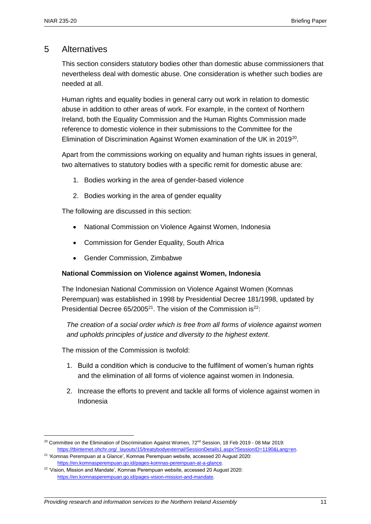### 5 Alternatives

This section considers statutory bodies other than domestic abuse commissioners that nevertheless deal with domestic abuse. One consideration is whether such bodies are needed at all.

Human rights and equality bodies in general carry out work in relation to domestic abuse in addition to other areas of work. For example, in the context of Northern Ireland, both the Equality Commission and the Human Rights Commission made reference to domestic violence in their submissions to the Committee for the Elimination of Discrimination Against Women examination of the UK in 2019<sup>20</sup>.

Apart from the commissions working on equality and human rights issues in general, two alternatives to statutory bodies with a specific remit for domestic abuse are:

- 1. Bodies working in the area of gender-based violence
- 2. Bodies working in the area of gender equality

The following are discussed in this section:

- National Commission on Violence Against Women, Indonesia
- Commission for Gender Equality, South Africa
- Gender Commission, Zimbabwe

#### **National Commission on Violence against Women, Indonesia**

The Indonesian National Commission on Violence Against Women (Komnas Perempuan) was established in 1998 by Presidential Decree 181/1998, updated by Presidential Decree  $65/2005^{21}$ . The vision of the Commission is<sup>22</sup>:

*The creation of a social order which is free from all forms of violence against women and upholds principles of justice and diversity to the highest extent*.

The mission of the Commission is twofold:

- 1. Build a condition which is conducive to the fulfilment of women's human rights and the elimination of all forms of violence against women in Indonesia.
- 2. Increase the efforts to prevent and tackle all forms of violence against women in Indonesia

<sup>&</sup>lt;sup>20</sup> Committee on the Elimination of Discrimination Against Women, 72<sup>nd</sup> Session, 18 Feb 2019 - 08 Mar 2019: https://tbinternet.ohchr.org/\_layouts/15/treatybodyexternal/SessionDetails1.aspx?SessionID=1190&Lang=en.

<sup>21</sup> 'Komnas Perempuan at a Glance', Komnas Perempuan website, accessed 20 August 2020: [https://en.komnasperempuan.go.id/pages-komnas-perempuan-at-a-glance.](https://en.komnasperempuan.go.id/pages-komnas-perempuan-at-a-glance)

<sup>&</sup>lt;sup>22</sup> 'Vision, Mission and Mandate', Komnas Perempuan website, accessed 20 August 2020: [https://en.komnasperempuan.go.id/pages-vision-mission-and-mandate.](https://en.komnasperempuan.go.id/pages-vision-mission-and-mandate)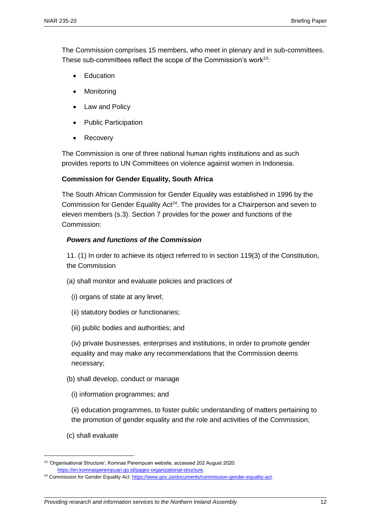The Commission comprises 15 members, who meet in plenary and in sub-committees. These sub-committees reflect the scope of the Commission's work<sup>23</sup>:

- Education
- Monitoring
- Law and Policy
- Public Participation
- Recovery

The Commission is one of three national human rights institutions and as such provides reports to UN Committees on violence against women in Indonesia.

#### **Commission for Gender Equality, South Africa**

The South African Commission for Gender Equality was established in 1996 by the Commission for Gender Equality Act<sup>24</sup>. The provides for a Chairperson and seven to eleven members (s.3). Section 7 provides for the power and functions of the Commission:

#### *Powers and functions of the Commission*

11. (1) In order to achieve its object referred to in section 119(3) of the Constitution, the Commission

- (a) shall monitor and evaluate policies and practices of
	- (i) organs of state at any level;
	- (ii) statutory bodies or functionaries;
	- (iii) public bodies and authorities; and

(iv) private businesses, enterprises and institutions, in order to promote gender equality and may make any recommendations that the Commission deems necessary;

- (b) shall develop, conduct or manage
	- (i) information programmes; and
	- (ii) education programmes, to foster public understanding of matters pertaining to the promotion of gender equality and the role and activities of the Commission;
- (c) shall evaluate

 $\overline{a}$ 

<sup>23</sup> 'Organisational Structure', Komnas Perempuan website, accessed 202 August 2020: [https://en.komnasperempuan.go.id/pages-organizational-structure.](https://en.komnasperempuan.go.id/pages-organizational-structure)

<sup>&</sup>lt;sup>24</sup> Commission for Gender Equality Act: [https://www.gov.za/documents/commission-gender-equality-act.](https://www.gov.za/documents/commission-gender-equality-act)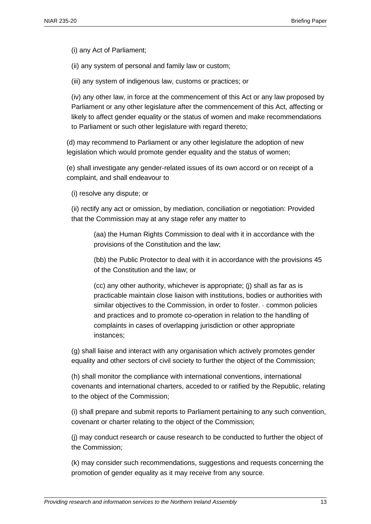(i) any Act of Parliament;

(ii) any system of personal and family law or custom;

(iii) any system of indigenous law, customs or practices; or

(iv) any other law, in force at the commencement of this Act or any law proposed by Parliament or any other legislature after the commencement of this Act, affecting or likely to affect gender equality or the status of women and make recommendations to Parliament or such other legislature with regard thereto;

(d) may recommend to Parliament or any other legislature the adoption of new legislation which would promote gender equality and the status of women;

(e) shall investigate any gender-related issues of its own accord or on receipt of a complaint, and shall endeavour to

(i) resolve any dispute; or

(ii) rectify any act or omission, by mediation, conciliation or negotiation: Provided that the Commission may at any stage refer any matter to

(aa) the Human Rights Commission to deal with it in accordance with the provisions of the Constitution and the law;

(bb) the Public Protector to deal with it in accordance with the provisions 45 of the Constitution and the law; or

(cc) any other authority, whichever is appropriate; (j) shall as far as is practicable maintain close liaison with institutions, bodies or authorities with similar objectives to the Commission, in order to foster. · common policies and practices and to promote co-operation in relation to the handling of complaints in cases of overlapping jurisdiction or other appropriate instances;

(g) shall liaise and interact with any organisation which actively promotes gender equality and other sectors of civil society to further the object of the Commission;

(h) shall monitor the compliance with international conventions, international covenants and international charters, acceded to or ratified by the Republic, relating to the object of the Commission;

(i) shall prepare and submit reports to Parliament pertaining to any such convention, covenant or charter relating to the object of the Commission;

(j) may conduct research or cause research to be conducted to further the object of the Commission;

(k) may consider such recommendations, suggestions and requests concerning the promotion of gender equality as it may receive from any source.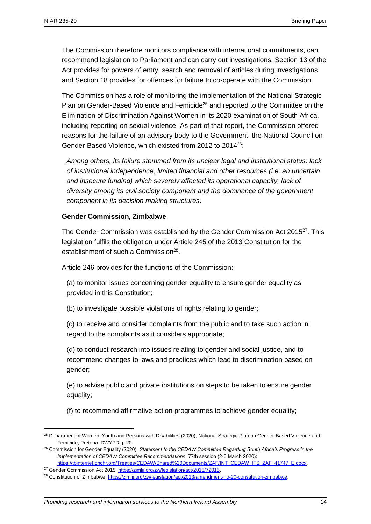The Commission therefore monitors compliance with international commitments, can recommend legislation to Parliament and can carry out investigations. Section 13 of the Act provides for powers of entry, search and removal of articles during investigations and Section 18 provides for offences for failure to co-operate with the Commission.

The Commission has a role of monitoring the implementation of the National Strategic Plan on Gender-Based Violence and Femicide<sup>25</sup> and reported to the Committee on the Elimination of Discrimination Against Women in its 2020 examination of South Africa, including reporting on sexual violence. As part of that report, the Commission offered reasons for the failure of an advisory body to the Government, the National Council on Gender-Based Violence, which existed from 2012 to 2014<sup>26</sup>:

*Among others, its failure stemmed from its unclear legal and institutional status; lack of institutional independence, limited financial and other resources (i.e. an uncertain and insecure funding) which severely affected its operational capacity, lack of diversity among its civil society component and the dominance of the government component in its decision making structures*.

#### **Gender Commission, Zimbabwe**

The Gender Commission was established by the Gender Commission Act 2015<sup>27</sup>. This legislation fulfils the obligation under Article 245 of the 2013 Constitution for the establishment of such a Commission<sup>28</sup>.

Article 246 provides for the functions of the Commission:

(a) to monitor issues concerning gender equality to ensure gender equality as provided in this Constitution;

(b) to investigate possible violations of rights relating to gender;

(c) to receive and consider complaints from the public and to take such action in regard to the complaints as it considers appropriate;

(d) to conduct research into issues relating to gender and social justice, and to recommend changes to laws and practices which lead to discrimination based on gender;

(e) to advise public and private institutions on steps to be taken to ensure gender equality;

(f) to recommend affirmative action programmes to achieve gender equality;

<sup>&</sup>lt;sup>25</sup> Department of Women, Youth and Persons with Disabilities (2020), National Strategic Plan on Gender-Based Violence and Femicide, Pretoria: DWYPD, p.20.

<sup>26</sup> Commission for Gender Equality (2020), *Statement to the CEDAW Committee Regarding South Africa's Progress in the Implementation of CEDAW Committee Recommendations*, 77th session (2-6 March 2020): [https://tbinternet.ohchr.org/Treaties/CEDAW/Shared%20Documents/ZAF/INT\\_CEDAW\\_IFS\\_ZAF\\_41747\\_E.docx.](https://tbinternet.ohchr.org/Treaties/CEDAW/Shared%20Documents/ZAF/INT_CEDAW_IFS_ZAF_41747_E.docx)

<sup>&</sup>lt;sup>27</sup> Gender Commission Act 2015: https://zimlii.org/zw/legislation/act/2015/72015.

<sup>&</sup>lt;sup>28</sup> Constitution of Zimbabwe[: https://zimlii.org/zw/legislation/act/2013/amendment-no-20-constitution-zimbabwe.](https://zimlii.org/zw/legislation/act/2013/amendment-no-20-constitution-zimbabwe)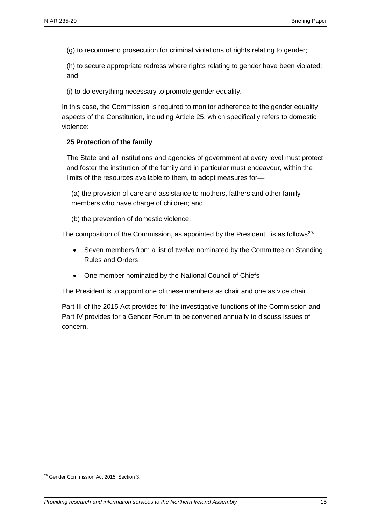(g) to recommend prosecution for criminal violations of rights relating to gender;

(h) to secure appropriate redress where rights relating to gender have been violated; and

(i) to do everything necessary to promote gender equality.

In this case, the Commission is required to monitor adherence to the gender equality aspects of the Constitution, including Article 25, which specifically refers to domestic violence:

#### **25 Protection of the family**

The State and all institutions and agencies of government at every level must protect and foster the institution of the family and in particular must endeavour, within the limits of the resources available to them, to adopt measures for—

(a) the provision of care and assistance to mothers, fathers and other family members who have charge of children; and

(b) the prevention of domestic violence.

The composition of the Commission, as appointed by the President, is as follows<sup>29</sup>:

- Seven members from a list of twelve nominated by the Committee on Standing Rules and Orders
- One member nominated by the National Council of Chiefs

The President is to appoint one of these members as chair and one as vice chair.

Part III of the 2015 Act provides for the investigative functions of the Commission and Part IV provides for a Gender Forum to be convened annually to discuss issues of concern.

 $\overline{a}$ 

<sup>29</sup> Gender Commission Act 2015, Section 3.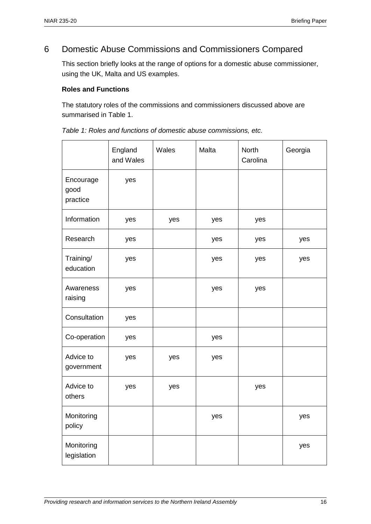## 6 Domestic Abuse Commissions and Commissioners Compared

This section briefly looks at the range of options for a domestic abuse commissioner, using the UK, Malta and US examples.

#### **Roles and Functions**

The statutory roles of the commissions and commissioners discussed above are summarised in Table 1.

|                               | England<br>and Wales | Wales | Malta | <b>North</b><br>Carolina | Georgia |
|-------------------------------|----------------------|-------|-------|--------------------------|---------|
| Encourage<br>good<br>practice | yes                  |       |       |                          |         |
| Information                   | yes                  | yes   | yes   | yes                      |         |
| Research                      | yes                  |       | yes   | yes                      | yes     |
| Training/<br>education        | yes                  |       | yes   | yes                      | yes     |
| Awareness<br>raising          | yes                  |       | yes   | yes                      |         |
| Consultation                  | yes                  |       |       |                          |         |
| Co-operation                  | yes                  |       | yes   |                          |         |
| Advice to<br>government       | yes                  | yes   | yes   |                          |         |
| Advice to<br>others           | yes                  | yes   |       | yes                      |         |
| Monitoring<br>policy          |                      |       | yes   |                          | yes     |
| Monitoring<br>legislation     |                      |       |       |                          | yes     |

*Table 1: Roles and functions of domestic abuse commissions, etc.*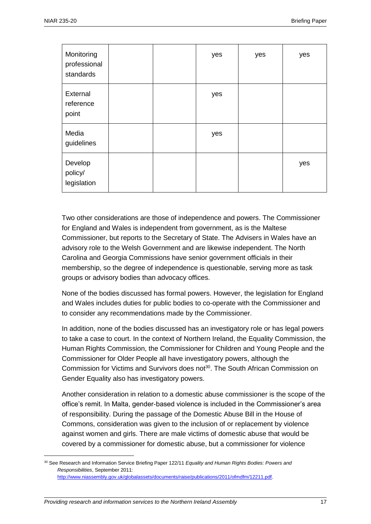| Monitoring<br>professional<br>standards |  | yes | yes | yes |
|-----------------------------------------|--|-----|-----|-----|
| External<br>reference<br>point          |  | yes |     |     |
| Media<br>guidelines                     |  | yes |     |     |
| Develop<br>policy/<br>legislation       |  |     |     | yes |

Two other considerations are those of independence and powers. The Commissioner for England and Wales is independent from government, as is the Maltese Commissioner, but reports to the Secretary of State. The Advisers in Wales have an advisory role to the Welsh Government and are likewise independent. The North Carolina and Georgia Commissions have senior government officials in their membership, so the degree of independence is questionable, serving more as task groups or advisory bodies than advocacy offices.

None of the bodies discussed has formal powers. However, the legislation for England and Wales includes duties for public bodies to co-operate with the Commissioner and to consider any recommendations made by the Commissioner.

In addition, none of the bodies discussed has an investigatory role or has legal powers to take a case to court. In the context of Northern Ireland, the Equality Commission, the Human Rights Commission, the Commissioner for Children and Young People and the Commissioner for Older People all have investigatory powers, although the Commission for Victims and Survivors does not<sup>30</sup>. The South African Commission on Gender Equality also has investigatory powers.

Another consideration in relation to a domestic abuse commissioner is the scope of the office's remit. In Malta, gender-based violence is included in the Commissioner's area of responsibility. During the passage of the Domestic Abuse Bill in the House of Commons, consideration was given to the inclusion of or replacement by violence against women and girls. There are male victims of domestic abuse that would be covered by a commissioner for domestic abuse, but a commissioner for violence

<sup>30</sup> See Research and Information Service Briefing Paper 122/11 *Equality and Human Rights Bodies: Powers and Responsibilities*, September 2011: [http://www.niassembly.gov.uk/globalassets/documents/raise/publications/2011/ofmdfm/12211.pdf.](http://www.niassembly.gov.uk/globalassets/documents/raise/publications/2011/ofmdfm/12211.pdf)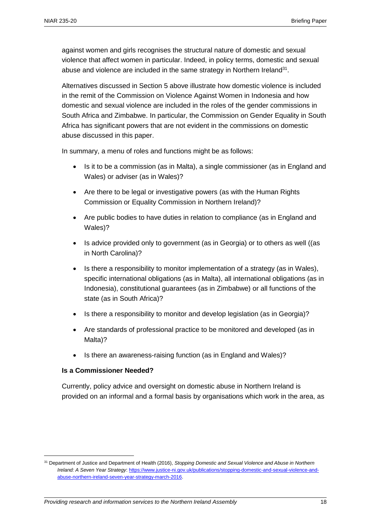against women and girls recognises the structural nature of domestic and sexual violence that affect women in particular. Indeed, in policy terms, domestic and sexual abuse and violence are included in the same strategy in Northern Ireland<sup>31</sup>.

Alternatives discussed in Section 5 above illustrate how domestic violence is included in the remit of the Commission on Violence Against Women in Indonesia and how domestic and sexual violence are included in the roles of the gender commissions in South Africa and Zimbabwe. In particular, the Commission on Gender Equality in South Africa has significant powers that are not evident in the commissions on domestic abuse discussed in this paper.

In summary, a menu of roles and functions might be as follows:

- Is it to be a commission (as in Malta), a single commissioner (as in England and Wales) or adviser (as in Wales)?
- Are there to be legal or investigative powers (as with the Human Rights Commission or Equality Commission in Northern Ireland)?
- Are public bodies to have duties in relation to compliance (as in England and Wales)?
- Is advice provided only to government (as in Georgia) or to others as well ((as in North Carolina)?
- Is there a responsibility to monitor implementation of a strategy (as in Wales), specific international obligations (as in Malta), all international obligations (as in Indonesia), constitutional guarantees (as in Zimbabwe) or all functions of the state (as in South Africa)?
- Is there a responsibility to monitor and develop legislation (as in Georgia)?
- Are standards of professional practice to be monitored and developed (as in Malta)?
- Is there an awareness-raising function (as in England and Wales)?

#### **Is a Commissioner Needed?**

 $\overline{a}$ 

Currently, policy advice and oversight on domestic abuse in Northern Ireland is provided on an informal and a formal basis by organisations which work in the area, as

<sup>31</sup> Department of Justice and Department of Health (2016), *Stopping Domestic and Sexual Violence and Abuse in Northern Ireland: A Seven Year Strategy*: [https://www.justice-ni.gov.uk/publications/stopping-domestic-and-sexual-violence-and](https://www.justice-ni.gov.uk/publications/stopping-domestic-and-sexual-violence-and-abuse-northern-ireland-seven-year-strategy-march-2016)[abuse-northern-ireland-seven-year-strategy-march-2016.](https://www.justice-ni.gov.uk/publications/stopping-domestic-and-sexual-violence-and-abuse-northern-ireland-seven-year-strategy-march-2016)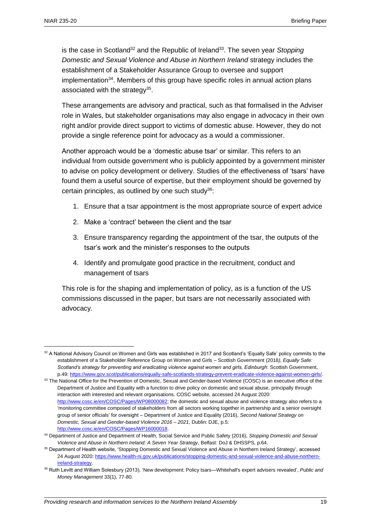is the case in Scotland<sup>32</sup> and the Republic of Ireland<sup>33</sup>. The seven year Stopping *Domestic and Sexual Violence and Abuse in Northern Ireland* strategy includes the establishment of a Stakeholder Assurance Group to oversee and support implementation<sup>34</sup>. Members of this group have specific roles in annual action plans associated with the strategy<sup>35</sup>.

These arrangements are advisory and practical, such as that formalised in the Adviser role in Wales, but stakeholder organisations may also engage in advocacy in their own right and/or provide direct support to victims of domestic abuse. However, they do not provide a single reference point for advocacy as a would a commissioner.

Another approach would be a 'domestic abuse tsar' or similar. This refers to an individual from outside government who is publicly appointed by a government minister to advise on policy development or delivery. Studies of the effectiveness of 'tsars' have found them a useful source of expertise, but their employment should be governed by certain principles, as outlined by one such study<sup>36</sup>:

- 1. Ensure that a tsar appointment is the most appropriate source of expert advice
- 2. Make a 'contract' between the client and the tsar
- 3. Ensure transparency regarding the appointment of the tsar, the outputs of the tsar's work and the minister's responses to the outputs
- 4. Identify and promulgate good practice in the recruitment, conduct and management of tsars

This role is for the shaping and implementation of policy, as is a function of the US commissions discussed in the paper, but tsars are not necessarily associated with advocacy.

<sup>32</sup> A National Advisory Council on Women and Girls was established in 2017 and Scotland's 'Equally Safe' policy commits to the establishment of a Stakeholder Reference Group on Women and Girls – Scottish Government (2018*), Equally Safe: Scotland's strategy for preventing and eradicating violence against women and girls, Edinburgh*: Scottish Government, p.49[: https://www.gov.scot/publications/equally-safe-scotlands-strategy-prevent-eradicate-violence-against-women-girls/.](https://www.gov.scot/publications/equally-safe-scotlands-strategy-prevent-eradicate-violence-against-women-girls/) 

<sup>&</sup>lt;sup>33</sup> The National Office for the Prevention of Domestic, Sexual and Gender-based Violence (COSC) is an executive office of the Department of Justice and Equality with a function to drive policy on domestic and sexual abuse, principally through interaction with interested and relevant organisations. COSC website, accessed 24 August 2020: [http://www.cosc.ie/en/COSC/Pages/WP08000082;](http://www.cosc.ie/en/COSC/Pages/WP08000082) the domestic and sexual abuse and violence strategy also refers to a 'monitoring committee composed of stakeholders from all sectors working together in partnership and a senior oversight group of senior officials' for oversight – Department of Justice and Equality (2016), *Second National Strategy on Domestic, Sexual and Gender-based Violence 2016 – 2021*, Dublin: DJE, p.5: [http://www.cosc.ie/en/COSC/Pages/WP16000018.](http://www.cosc.ie/en/COSC/Pages/WP16000018)

<sup>34</sup> Department of Justice and Department of Health, Social Service and Public Safety (2016), *Stopping Domestic and Sexual Violence and Abuse in Northern Ireland: A Seven Year Strategy*, Belfast: DoJ & DHSSPS, p.64.

<sup>35</sup> Department of Health website, 'Stopping Domestic and Sexual Violence and Abuse in Northern Ireland Strategy', accessed 24 August 2020[: https://www.health-ni.gov.uk/publications/stopping-domestic-and-sexual-violence-and-abuse-northern](https://www.health-ni.gov.uk/publications/stopping-domestic-and-sexual-violence-and-abuse-northern-ireland-strategy)[ireland-strategy.](https://www.health-ni.gov.uk/publications/stopping-domestic-and-sexual-violence-and-abuse-northern-ireland-strategy) 

<sup>36</sup> Ruth Levitt and William Solesbury (2013), 'New development: Policy tsars—Whitehall's expert advisers revealed', *Public and Money Management* 33(1), 77-80.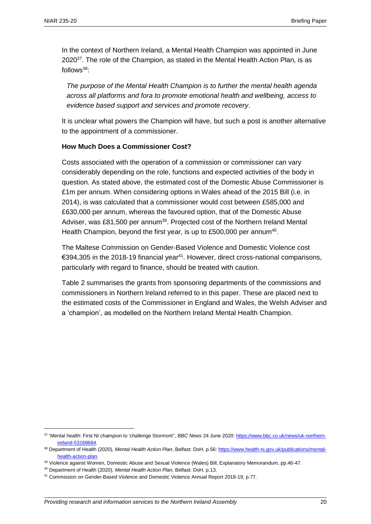In the context of Northern Ireland, a Mental Health Champion was appointed in June 2020 $37$ . The role of the Champion, as stated in the Mental Health Action Plan, is as  $follows<sup>38</sup>$ 

*The purpose of the Mental Health Champion is to further the mental health agenda across all platforms and fora to promote emotional health and wellbeing, access to evidence based support and services and promote recovery*.

It is unclear what powers the Champion will have, but such a post is another alternative to the appointment of a commissioner.

#### **How Much Does a Commissioner Cost?**

Costs associated with the operation of a commission or commissioner can vary considerably depending on the role, functions and expected activities of the body in question. As stated above, the estimated cost of the Domestic Abuse Commissioner is £1m per annum. When considering options in Wales ahead of the 2015 Bill (i.e. in 2014), is was calculated that a commissioner would cost between £585,000 and £630,000 per annum, whereas the favoured option, that of the Domestic Abuse Adviser, was £81,500 per annum<sup>39</sup>. Projected cost of the Northern Ireland Mental Health Champion, beyond the first year, is up to £500,000 per annum<sup>40</sup>.

The Maltese Commission on Gender-Based Violence and Domestic Violence cost €394,305 in the 2018-19 financial year<sup>41</sup>. However, direct cross-national comparisons, particularly with regard to finance, should be treated with caution.

Table 2 summarises the grants from sponsoring departments of the commissions and commissioners in Northern Ireland referred to in this paper. These are placed next to the estimated costs of the Commissioner in England and Wales, the Welsh Adviser and a 'champion', as modelled on the Northern Ireland Mental Health Champion.

 $\overline{a}$ 

<sup>37</sup> 'Mental health: First NI champion to 'challenge Stormont'', *BBC News* 24 June 2020: [https://www.bbc.co.uk/news/uk-northern](https://www.bbc.co.uk/news/uk-northern-ireland-53168684)[ireland-53168684.](https://www.bbc.co.uk/news/uk-northern-ireland-53168684) 

<sup>38</sup> Department of Health (2020), *Mental Health Action Plan*, Belfast: DoH, p.56[: https://www.health-ni.gov.uk/publications/mental](https://www.health-ni.gov.uk/publications/mental-health-action-plan)[health-action-plan.](https://www.health-ni.gov.uk/publications/mental-health-action-plan)

<sup>39</sup> Violence against Women, Domestic Abuse and Sexual Violence (Wales) Bill, Explanatory Memorandum, pp.46-47.

<sup>40</sup> Department of Health (2020), *Mental Health Action Plan*, Belfast: DoH, p.13.

<sup>41</sup> Commission on Gender-Based Violence and Domestic Violence Annual Report 2018-19, p.77.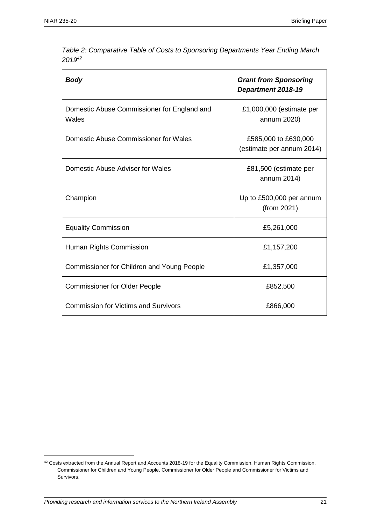| <b>Body</b>                                          | <b>Grant from Sponsoring</b><br>Department 2018-19 |  |
|------------------------------------------------------|----------------------------------------------------|--|
| Domestic Abuse Commissioner for England and<br>Wales | £1,000,000 (estimate per<br>annum 2020)            |  |
| Domestic Abuse Commissioner for Wales                | £585,000 to £630,000<br>(estimate per annum 2014)  |  |
| Domestic Abuse Adviser for Wales                     | £81,500 (estimate per<br>annum 2014)               |  |
| Champion                                             | Up to £500,000 per annum<br>(from 2021)            |  |
| <b>Equality Commission</b>                           | £5,261,000                                         |  |
| Human Rights Commission                              | £1,157,200                                         |  |
| Commissioner for Children and Young People           | £1,357,000                                         |  |
| <b>Commissioner for Older People</b>                 | £852,500                                           |  |
| <b>Commission for Victims and Survivors</b>          | £866,000                                           |  |

*Table 2: Comparative Table of Costs to Sponsoring Departments Year Ending March 2019<sup>42</sup>*

<sup>&</sup>lt;sup>42</sup> Costs extracted from the Annual Report and Accounts 2018-19 for the Equality Commission, Human Rights Commission, Commissioner for Children and Young People, Commissioner for Older People and Commissioner for Victims and Survivors.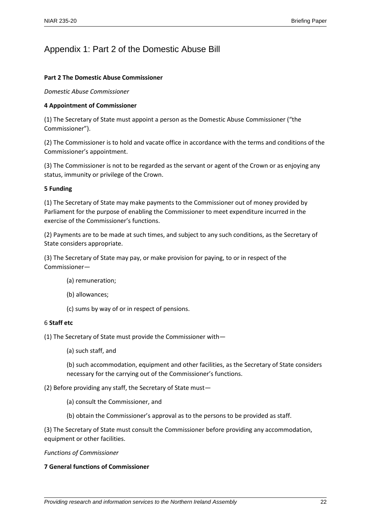## Appendix 1: Part 2 of the Domestic Abuse Bill

#### **Part 2 The Domestic Abuse Commissioner**

*Domestic Abuse Commissioner*

#### **4 Appointment of Commissioner**

(1) The Secretary of State must appoint a person as the Domestic Abuse Commissioner ("the Commissioner").

(2) The Commissioner is to hold and vacate office in accordance with the terms and conditions of the Commissioner's appointment.

(3) The Commissioner is not to be regarded as the servant or agent of the Crown or as enjoying any status, immunity or privilege of the Crown.

#### **5 Funding**

(1) The Secretary of State may make payments to the Commissioner out of money provided by Parliament for the purpose of enabling the Commissioner to meet expenditure incurred in the exercise of the Commissioner's functions.

(2) Payments are to be made at such times, and subject to any such conditions, as the Secretary of State considers appropriate.

(3) The Secretary of State may pay, or make provision for paying, to or in respect of the Commissioner—

- (a) remuneration;
- (b) allowances;
- (c) sums by way of or in respect of pensions.

#### 6 **Staff etc**

(1) The Secretary of State must provide the Commissioner with—

(a) such staff, and

(b) such accommodation, equipment and other facilities, as the Secretary of State considers necessary for the carrying out of the Commissioner's functions.

#### (2) Before providing any staff, the Secretary of State must—

(a) consult the Commissioner, and

(b) obtain the Commissioner's approval as to the persons to be provided as staff.

(3) The Secretary of State must consult the Commissioner before providing any accommodation, equipment or other facilities.

#### *Functions of Commissioner*

#### **7 General functions of Commissioner**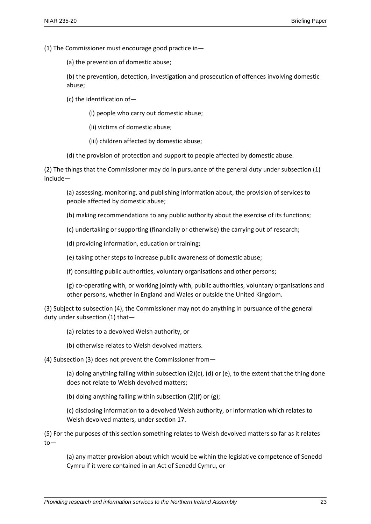(1) The Commissioner must encourage good practice in—

(a) the prevention of domestic abuse;

(b) the prevention, detection, investigation and prosecution of offences involving domestic abuse;

(c) the identification of—

(i) people who carry out domestic abuse;

(ii) victims of domestic abuse;

(iii) children affected by domestic abuse;

(d) the provision of protection and support to people affected by domestic abuse.

(2) The things that the Commissioner may do in pursuance of the general duty under subsection (1) include—

(a) assessing, monitoring, and publishing information about, the provision of services to people affected by domestic abuse;

(b) making recommendations to any public authority about the exercise of its functions;

(c) undertaking or supporting (financially or otherwise) the carrying out of research;

(d) providing information, education or training;

(e) taking other steps to increase public awareness of domestic abuse;

(f) consulting public authorities, voluntary organisations and other persons;

(g) co-operating with, or working jointly with, public authorities, voluntary organisations and other persons, whether in England and Wales or outside the United Kingdom.

(3) Subject to subsection (4), the Commissioner may not do anything in pursuance of the general duty under subsection (1) that—

(a) relates to a devolved Welsh authority, or

(b) otherwise relates to Welsh devolved matters.

(4) Subsection (3) does not prevent the Commissioner from—

(a) doing anything falling within subsection  $(2)(c)$ ,  $(d)$  or (e), to the extent that the thing done does not relate to Welsh devolved matters;

(b) doing anything falling within subsection (2)(f) or (g);

(c) disclosing information to a devolved Welsh authority, or information which relates to Welsh devolved matters, under section 17.

(5) For the purposes of this section something relates to Welsh devolved matters so far as it relates to—

(a) any matter provision about which would be within the legislative competence of Senedd Cymru if it were contained in an Act of Senedd Cymru, or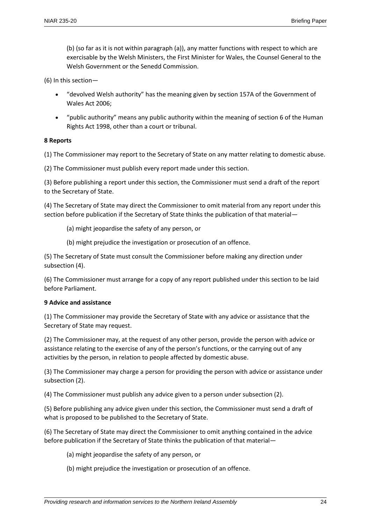(b) (so far as it is not within paragraph (a)), any matter functions with respect to which are exercisable by the Welsh Ministers, the First Minister for Wales, the Counsel General to the Welsh Government or the Senedd Commission.

(6) In this section—

- "devolved Welsh authority" has the meaning given by section 157A of the Government of Wales Act 2006;
- "public authority" means any public authority within the meaning of section 6 of the Human Rights Act 1998, other than a court or tribunal.

#### **8 Reports**

(1) The Commissioner may report to the Secretary of State on any matter relating to domestic abuse.

(2) The Commissioner must publish every report made under this section.

(3) Before publishing a report under this section, the Commissioner must send a draft of the report to the Secretary of State.

(4) The Secretary of State may direct the Commissioner to omit material from any report under this section before publication if the Secretary of State thinks the publication of that material—

(a) might jeopardise the safety of any person, or

(b) might prejudice the investigation or prosecution of an offence.

(5) The Secretary of State must consult the Commissioner before making any direction under subsection (4).

(6) The Commissioner must arrange for a copy of any report published under this section to be laid before Parliament.

#### **9 Advice and assistance**

(1) The Commissioner may provide the Secretary of State with any advice or assistance that the Secretary of State may request.

(2) The Commissioner may, at the request of any other person, provide the person with advice or assistance relating to the exercise of any of the person's functions, or the carrying out of any activities by the person, in relation to people affected by domestic abuse.

(3) The Commissioner may charge a person for providing the person with advice or assistance under subsection (2).

(4) The Commissioner must publish any advice given to a person under subsection (2).

(5) Before publishing any advice given under this section, the Commissioner must send a draft of what is proposed to be published to the Secretary of State.

(6) The Secretary of State may direct the Commissioner to omit anything contained in the advice before publication if the Secretary of State thinks the publication of that material—

- (a) might jeopardise the safety of any person, or
- (b) might prejudice the investigation or prosecution of an offence.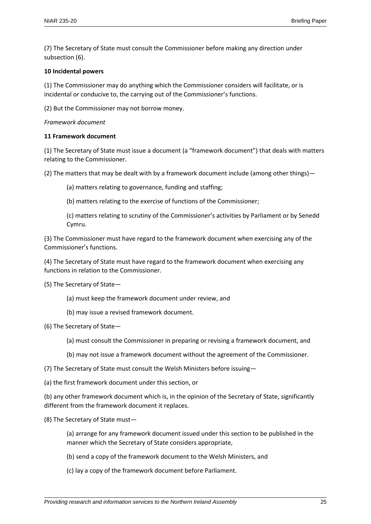(7) The Secretary of State must consult the Commissioner before making any direction under subsection (6).

#### **10 Incidental powers**

(1) The Commissioner may do anything which the Commissioner considers will facilitate, or is incidental or conducive to, the carrying out of the Commissioner's functions.

(2) But the Commissioner may not borrow money.

#### *Framework document*

#### **11 Framework document**

(1) The Secretary of State must issue a document (a "framework document") that deals with matters relating to the Commissioner.

(2) The matters that may be dealt with by a framework document include (among other things)—

- (a) matters relating to governance, funding and staffing;
- (b) matters relating to the exercise of functions of the Commissioner;
- (c) matters relating to scrutiny of the Commissioner's activities by Parliament or by Senedd Cymru.

(3) The Commissioner must have regard to the framework document when exercising any of the Commissioner's functions.

(4) The Secretary of State must have regard to the framework document when exercising any functions in relation to the Commissioner.

(5) The Secretary of State—

- (a) must keep the framework document under review, and
- (b) may issue a revised framework document.
- (6) The Secretary of State—
	- (a) must consult the Commissioner in preparing or revising a framework document, and
	- (b) may not issue a framework document without the agreement of the Commissioner.
- (7) The Secretary of State must consult the Welsh Ministers before issuing—
- (a) the first framework document under this section, or

(b) any other framework document which is, in the opinion of the Secretary of State, significantly different from the framework document it replaces.

- (8) The Secretary of State must—
	- (a) arrange for any framework document issued under this section to be published in the manner which the Secretary of State considers appropriate,
	- (b) send a copy of the framework document to the Welsh Ministers, and
	- (c) lay a copy of the framework document before Parliament.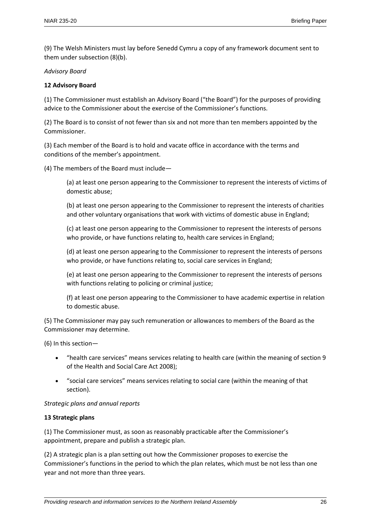(9) The Welsh Ministers must lay before Senedd Cymru a copy of any framework document sent to them under subsection (8)(b).

#### *Advisory Board*

#### **12 Advisory Board**

(1) The Commissioner must establish an Advisory Board ("the Board") for the purposes of providing advice to the Commissioner about the exercise of the Commissioner's functions.

(2) The Board is to consist of not fewer than six and not more than ten members appointed by the Commissioner.

(3) Each member of the Board is to hold and vacate office in accordance with the terms and conditions of the member's appointment.

(4) The members of the Board must include—

(a) at least one person appearing to the Commissioner to represent the interests of victims of domestic abuse;

(b) at least one person appearing to the Commissioner to represent the interests of charities and other voluntary organisations that work with victims of domestic abuse in England;

(c) at least one person appearing to the Commissioner to represent the interests of persons who provide, or have functions relating to, health care services in England;

(d) at least one person appearing to the Commissioner to represent the interests of persons who provide, or have functions relating to, social care services in England;

(e) at least one person appearing to the Commissioner to represent the interests of persons with functions relating to policing or criminal justice;

(f) at least one person appearing to the Commissioner to have academic expertise in relation to domestic abuse.

(5) The Commissioner may pay such remuneration or allowances to members of the Board as the Commissioner may determine.

(6) In this section—

- "health care services" means services relating to health care (within the meaning of section 9 of the Health and Social Care Act 2008);
- "social care services" means services relating to social care (within the meaning of that section).

#### *Strategic plans and annual reports*

#### **13 Strategic plans**

(1) The Commissioner must, as soon as reasonably practicable after the Commissioner's appointment, prepare and publish a strategic plan.

(2) A strategic plan is a plan setting out how the Commissioner proposes to exercise the Commissioner's functions in the period to which the plan relates, which must be not less than one year and not more than three years.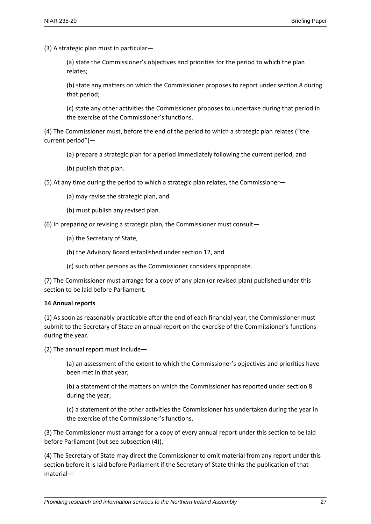(3) A strategic plan must in particular—

(a) state the Commissioner's objectives and priorities for the period to which the plan relates;

(b) state any matters on which the Commissioner proposes to report under section 8 during that period;

(c) state any other activities the Commissioner proposes to undertake during that period in the exercise of the Commissioner's functions.

(4) The Commissioner must, before the end of the period to which a strategic plan relates ("the current period")—

- (a) prepare a strategic plan for a period immediately following the current period, and
- (b) publish that plan.

(5) At any time during the period to which a strategic plan relates, the Commissioner—

- (a) may revise the strategic plan, and
- (b) must publish any revised plan.

(6) In preparing or revising a strategic plan, the Commissioner must consult—

(a) the Secretary of State,

- (b) the Advisory Board established under section 12, and
- (c) such other persons as the Commissioner considers appropriate.

(7) The Commissioner must arrange for a copy of any plan (or revised plan) published under this section to be laid before Parliament.

#### **14 Annual reports**

(1) As soon as reasonably practicable after the end of each financial year, the Commissioner must submit to the Secretary of State an annual report on the exercise of the Commissioner's functions during the year.

(2) The annual report must include—

(a) an assessment of the extent to which the Commissioner's objectives and priorities have been met in that year;

(b) a statement of the matters on which the Commissioner has reported under section 8 during the year;

(c) a statement of the other activities the Commissioner has undertaken during the year in the exercise of the Commissioner's functions.

(3) The Commissioner must arrange for a copy of every annual report under this section to be laid before Parliament (but see subsection (4)).

(4) The Secretary of State may direct the Commissioner to omit material from any report under this section before it is laid before Parliament if the Secretary of State thinks the publication of that material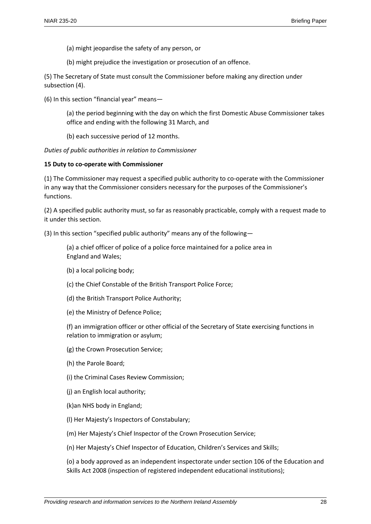(a) might jeopardise the safety of any person, or

(b) might prejudice the investigation or prosecution of an offence.

(5) The Secretary of State must consult the Commissioner before making any direction under subsection (4).

(6) In this section "financial year" means—

(a) the period beginning with the day on which the first Domestic Abuse Commissioner takes office and ending with the following 31 March, and

(b) each successive period of 12 months.

*Duties of public authorities in relation to Commissioner*

#### **15 Duty to co-operate with Commissioner**

(1) The Commissioner may request a specified public authority to co-operate with the Commissioner in any way that the Commissioner considers necessary for the purposes of the Commissioner's functions.

(2) A specified public authority must, so far as reasonably practicable, comply with a request made to it under this section.

(3) In this section "specified public authority" means any of the following—

(a) a chief officer of police of a police force maintained for a police area in England and Wales;

- (b) a local policing body;
- (c) the Chief Constable of the British Transport Police Force;
- (d) the British Transport Police Authority;
- (e) the Ministry of Defence Police;

(f) an immigration officer or other official of the Secretary of State exercising functions in relation to immigration or asylum;

- (g) the Crown Prosecution Service;
- (h) the Parole Board;
- (i) the Criminal Cases Review Commission;
- (j) an English local authority;
- (k)an NHS body in England;
- (l) Her Majesty's Inspectors of Constabulary;
- (m) Her Majesty's Chief Inspector of the Crown Prosecution Service;

(n) Her Majesty's Chief Inspector of Education, Children's Services and Skills;

(o) a body approved as an independent inspectorate under section 106 of the Education and Skills Act 2008 (inspection of registered independent educational institutions);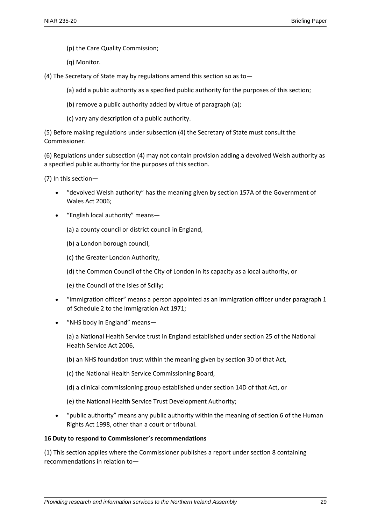- (p) the Care Quality Commission;
- (q) Monitor.
- (4) The Secretary of State may by regulations amend this section so as to—
	- (a) add a public authority as a specified public authority for the purposes of this section;
	- (b) remove a public authority added by virtue of paragraph (a);
	- (c) vary any description of a public authority.

(5) Before making regulations under subsection (4) the Secretary of State must consult the Commissioner.

(6) Regulations under subsection (4) may not contain provision adding a devolved Welsh authority as a specified public authority for the purposes of this section.

(7) In this section—

- "devolved Welsh authority" has the meaning given by section 157A of the Government of Wales Act 2006;
- "English local authority" means—

(a) a county council or district council in England,

- (b) a London borough council,
- (c) the Greater London Authority,

(d) the Common Council of the City of London in its capacity as a local authority, or

(e) the Council of the Isles of Scilly;

- "immigration officer" means a person appointed as an immigration officer under paragraph 1 of Schedule 2 to the Immigration Act 1971;
- "NHS body in England" means—

(a) a National Health Service trust in England established under section 25 of the National Health Service Act 2006,

- (b) an NHS foundation trust within the meaning given by section 30 of that Act,
- (c) the National Health Service Commissioning Board,
- (d) a clinical commissioning group established under section 14D of that Act, or
- (e) the National Health Service Trust Development Authority;
- "public authority" means any public authority within the meaning of section 6 of the Human Rights Act 1998, other than a court or tribunal.

#### **16 Duty to respond to Commissioner's recommendations**

(1) This section applies where the Commissioner publishes a report under section 8 containing recommendations in relation to—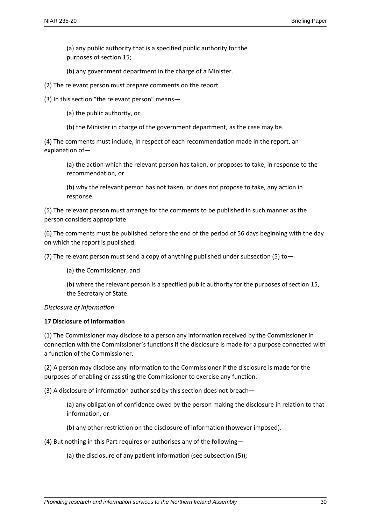(a) any public authority that is a specified public authority for the purposes of section 15;

(b) any government department in the charge of a Minister.

(2) The relevant person must prepare comments on the report.

(3) In this section "the relevant person" means—

(a) the public authority, or

(b) the Minister in charge of the government department, as the case may be.

(4) The comments must include, in respect of each recommendation made in the report, an explanation of—

(a) the action which the relevant person has taken, or proposes to take, in response to the recommendation, or

(b) why the relevant person has not taken, or does not propose to take, any action in response.

(5) The relevant person must arrange for the comments to be published in such manner as the person considers appropriate.

(6) The comments must be published before the end of the period of 56 days beginning with the day on which the report is published.

(7) The relevant person must send a copy of anything published under subsection (5) to  $-$ 

(a) the Commissioner, and

(b) where the relevant person is a specified public authority for the purposes of section 15, the Secretary of State.

*Disclosure of information*

#### **17 Disclosure of information**

(1) The Commissioner may disclose to a person any information received by the Commissioner in connection with the Commissioner's functions if the disclosure is made for a purpose connected with a function of the Commissioner.

(2) A person may disclose any information to the Commissioner if the disclosure is made for the purposes of enabling or assisting the Commissioner to exercise any function.

(3) A disclosure of information authorised by this section does not breach—

(a) any obligation of confidence owed by the person making the disclosure in relation to that information, or

(b) any other restriction on the disclosure of information (however imposed).

(4) But nothing in this Part requires or authorises any of the following—

(a) the disclosure of any patient information (see subsection (5));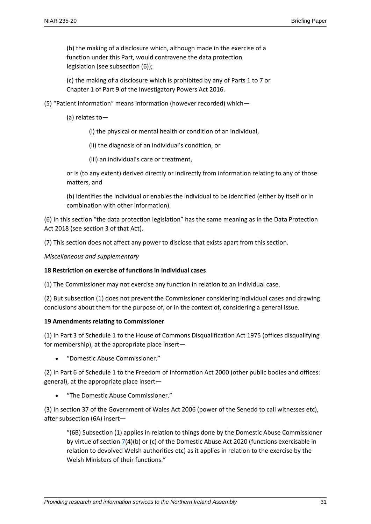(b) the making of a disclosure which, although made in the exercise of a function under this Part, would contravene the data protection legislation (see subsection (6));

(c) the making of a disclosure which is prohibited by any of Parts 1 to 7 or Chapter 1 of Part 9 of the Investigatory Powers Act 2016.

(5) "Patient information" means information (however recorded) which—

(a) relates to—

(i) the physical or mental health or condition of an individual,

(ii) the diagnosis of an individual's condition, or

(iii) an individual's care or treatment,

or is (to any extent) derived directly or indirectly from information relating to any of those matters, and

(b) identifies the individual or enables the individual to be identified (either by itself or in combination with other information).

(6) In this section "the data protection legislation" has the same meaning as in the Data Protection Act 2018 (see section 3 of that Act).

(7) This section does not affect any power to disclose that exists apart from this section.

*Miscellaneous and supplementary*

#### **18 Restriction on exercise of functions in individual cases**

(1) The Commissioner may not exercise any function in relation to an individual case.

(2) But subsection (1) does not prevent the Commissioner considering individual cases and drawing conclusions about them for the purpose of, or in the context of, considering a general issue.

#### **19 Amendments relating to Commissioner**

(1) In Part 3 of Schedule 1 to the House of Commons Disqualification Act 1975 (offices disqualifying for membership), at the appropriate place insert—

"Domestic Abuse Commissioner."

(2) In Part 6 of Schedule 1 to the Freedom of Information Act 2000 (other public bodies and offices: general), at the appropriate place insert—

"The Domestic Abuse Commissioner."

(3) In section 37 of the Government of Wales Act 2006 (power of the Senedd to call witnesses etc), after subsection (6A) insert—

"(6B) Subsection (1) applies in relation to things done by the Domestic Abuse Commissioner by virtue of section  $\frac{7}{4}$ (b) or (c) of the Domestic Abuse Act 2020 (functions exercisable in relation to devolved Welsh authorities etc) as it applies in relation to the exercise by the Welsh Ministers of their functions."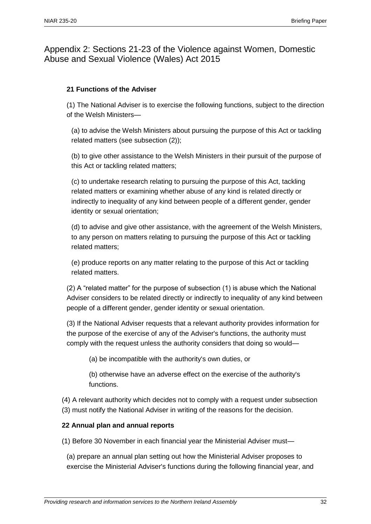Appendix 2: Sections 21-23 of the Violence against Women, Domestic Abuse and Sexual Violence (Wales) Act 2015

#### **21 Functions of the Adviser**

(1) The National Adviser is to exercise the following functions, subject to the direction of the Welsh Ministers—

(a) to advise the Welsh Ministers about pursuing the purpose of this Act or tackling related matters (see subsection (2));

(b) to give other assistance to the Welsh Ministers in their pursuit of the purpose of this Act or tackling related matters;

(c) to undertake research relating to pursuing the purpose of this Act, tackling related matters or examining whether abuse of any kind is related directly or indirectly to inequality of any kind between people of a different gender, gender identity or sexual orientation;

(d) to advise and give other assistance, with the agreement of the Welsh Ministers, to any person on matters relating to pursuing the purpose of this Act or tackling related matters;

(e) produce reports on any matter relating to the purpose of this Act or tackling related matters.

(2) A "related matter" for the purpose of subsection (1) is abuse which the National Adviser considers to be related directly or indirectly to inequality of any kind between people of a different gender, gender identity or sexual orientation.

(3) If the National Adviser requests that a relevant authority provides information for the purpose of the exercise of any of the Adviser's functions, the authority must comply with the request unless the authority considers that doing so would—

(a) be incompatible with the authority's own duties, or

(b) otherwise have an adverse effect on the exercise of the authority's functions.

(4) A relevant authority which decides not to comply with a request under subsection (3) must notify the National Adviser in writing of the reasons for the decision.

#### **22 Annual plan and annual reports**

(1) Before 30 November in each financial year the Ministerial Adviser must—

(a) prepare an annual plan setting out how the Ministerial Adviser proposes to exercise the Ministerial Adviser's functions during the following financial year, and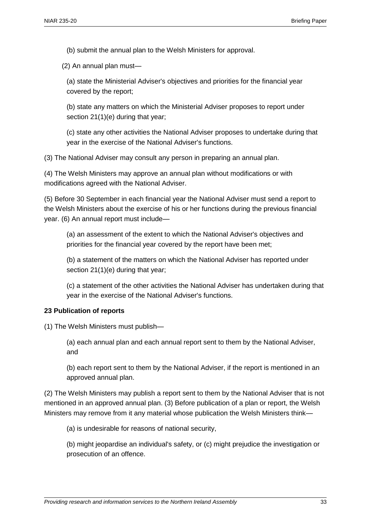(b) submit the annual plan to the Welsh Ministers for approval.

(2) An annual plan must—

(a) state the Ministerial Adviser's objectives and priorities for the financial year covered by the report;

(b) state any matters on which the Ministerial Adviser proposes to report under section 21(1)(e) during that year;

(c) state any other activities the National Adviser proposes to undertake during that year in the exercise of the National Adviser's functions.

(3) The National Adviser may consult any person in preparing an annual plan.

(4) The Welsh Ministers may approve an annual plan without modifications or with modifications agreed with the National Adviser.

(5) Before 30 September in each financial year the National Adviser must send a report to the Welsh Ministers about the exercise of his or her functions during the previous financial year. (6) An annual report must include—

(a) an assessment of the extent to which the National Adviser's objectives and priorities for the financial year covered by the report have been met;

(b) a statement of the matters on which the National Adviser has reported under section 21(1)(e) during that year;

(c) a statement of the other activities the National Adviser has undertaken during that year in the exercise of the National Adviser's functions.

#### **23 Publication of reports**

(1) The Welsh Ministers must publish—

(a) each annual plan and each annual report sent to them by the National Adviser, and

(b) each report sent to them by the National Adviser, if the report is mentioned in an approved annual plan.

(2) The Welsh Ministers may publish a report sent to them by the National Adviser that is not mentioned in an approved annual plan. (3) Before publication of a plan or report, the Welsh Ministers may remove from it any material whose publication the Welsh Ministers think—

(a) is undesirable for reasons of national security,

(b) might jeopardise an individual's safety, or (c) might prejudice the investigation or prosecution of an offence.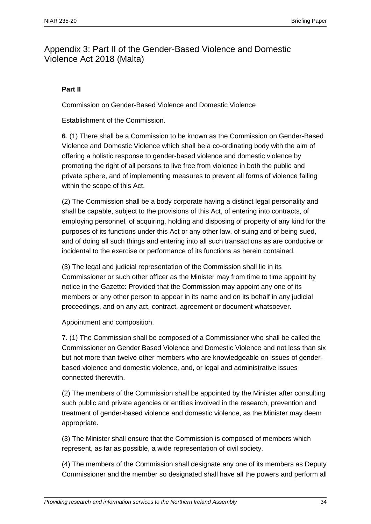## Appendix 3: Part II of the Gender-Based Violence and Domestic Violence Act 2018 (Malta)

#### **Part II**

Commission on Gender-Based Violence and Domestic Violence

Establishment of the Commission.

**6**. (1) There shall be a Commission to be known as the Commission on Gender-Based Violence and Domestic Violence which shall be a co-ordinating body with the aim of offering a holistic response to gender-based violence and domestic violence by promoting the right of all persons to live free from violence in both the public and private sphere, and of implementing measures to prevent all forms of violence falling within the scope of this Act.

(2) The Commission shall be a body corporate having a distinct legal personality and shall be capable, subject to the provisions of this Act, of entering into contracts, of employing personnel, of acquiring, holding and disposing of property of any kind for the purposes of its functions under this Act or any other law, of suing and of being sued, and of doing all such things and entering into all such transactions as are conducive or incidental to the exercise or performance of its functions as herein contained.

(3) The legal and judicial representation of the Commission shall lie in its Commissioner or such other officer as the Minister may from time to time appoint by notice in the Gazette: Provided that the Commission may appoint any one of its members or any other person to appear in its name and on its behalf in any judicial proceedings, and on any act, contract, agreement or document whatsoever.

Appointment and composition.

7. (1) The Commission shall be composed of a Commissioner who shall be called the Commissioner on Gender Based Violence and Domestic Violence and not less than six but not more than twelve other members who are knowledgeable on issues of genderbased violence and domestic violence, and, or legal and administrative issues connected therewith.

(2) The members of the Commission shall be appointed by the Minister after consulting such public and private agencies or entities involved in the research, prevention and treatment of gender-based violence and domestic violence, as the Minister may deem appropriate.

(3) The Minister shall ensure that the Commission is composed of members which represent, as far as possible, a wide representation of civil society.

(4) The members of the Commission shall designate any one of its members as Deputy Commissioner and the member so designated shall have all the powers and perform all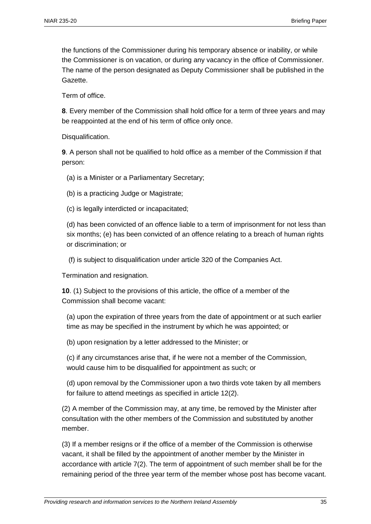the functions of the Commissioner during his temporary absence or inability, or while the Commissioner is on vacation, or during any vacancy in the office of Commissioner. The name of the person designated as Deputy Commissioner shall be published in the Gazette.

Term of office.

**8**. Every member of the Commission shall hold office for a term of three years and may be reappointed at the end of his term of office only once.

Disqualification.

**9**. A person shall not be qualified to hold office as a member of the Commission if that person:

(a) is a Minister or a Parliamentary Secretary;

(b) is a practicing Judge or Magistrate;

(c) is legally interdicted or incapacitated;

(d) has been convicted of an offence liable to a term of imprisonment for not less than six months; (e) has been convicted of an offence relating to a breach of human rights or discrimination; or

(f) is subject to disqualification under article 320 of the Companies Act.

Termination and resignation.

**10**. (1) Subject to the provisions of this article, the office of a member of the Commission shall become vacant:

(a) upon the expiration of three years from the date of appointment or at such earlier time as may be specified in the instrument by which he was appointed; or

(b) upon resignation by a letter addressed to the Minister; or

(c) if any circumstances arise that, if he were not a member of the Commission, would cause him to be disqualified for appointment as such; or

(d) upon removal by the Commissioner upon a two thirds vote taken by all members for failure to attend meetings as specified in article 12(2).

(2) A member of the Commission may, at any time, be removed by the Minister after consultation with the other members of the Commission and substituted by another member.

(3) If a member resigns or if the office of a member of the Commission is otherwise vacant, it shall be filled by the appointment of another member by the Minister in accordance with article 7(2). The term of appointment of such member shall be for the remaining period of the three year term of the member whose post has become vacant.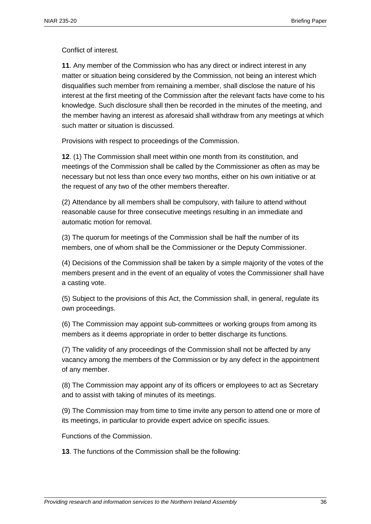Conflict of interest.

**11**. Any member of the Commission who has any direct or indirect interest in any matter or situation being considered by the Commission, not being an interest which disqualifies such member from remaining a member, shall disclose the nature of his interest at the first meeting of the Commission after the relevant facts have come to his knowledge. Such disclosure shall then be recorded in the minutes of the meeting, and the member having an interest as aforesaid shall withdraw from any meetings at which such matter or situation is discussed.

Provisions with respect to proceedings of the Commission.

**12**. (1) The Commission shall meet within one month from its constitution, and meetings of the Commission shall be called by the Commissioner as often as may be necessary but not less than once every two months, either on his own initiative or at the request of any two of the other members thereafter.

(2) Attendance by all members shall be compulsory, with failure to attend without reasonable cause for three consecutive meetings resulting in an immediate and automatic motion for removal.

(3) The quorum for meetings of the Commission shall be half the number of its members, one of whom shall be the Commissioner or the Deputy Commissioner.

(4) Decisions of the Commission shall be taken by a simple majority of the votes of the members present and in the event of an equality of votes the Commissioner shall have a casting vote.

(5) Subject to the provisions of this Act, the Commission shall, in general, regulate its own proceedings.

(6) The Commission may appoint sub-committees or working groups from among its members as it deems appropriate in order to better discharge its functions.

(7) The validity of any proceedings of the Commission shall not be affected by any vacancy among the members of the Commission or by any defect in the appointment of any member.

(8) The Commission may appoint any of its officers or employees to act as Secretary and to assist with taking of minutes of its meetings.

(9) The Commission may from time to time invite any person to attend one or more of its meetings, in particular to provide expert advice on specific issues.

Functions of the Commission.

**13**. The functions of the Commission shall be the following: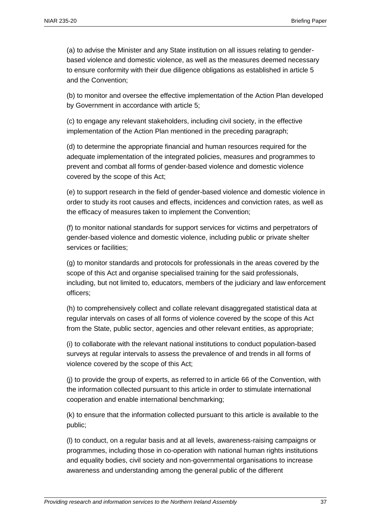(a) to advise the Minister and any State institution on all issues relating to genderbased violence and domestic violence, as well as the measures deemed necessary to ensure conformity with their due diligence obligations as established in article 5 and the Convention;

(b) to monitor and oversee the effective implementation of the Action Plan developed by Government in accordance with article 5;

(c) to engage any relevant stakeholders, including civil society, in the effective implementation of the Action Plan mentioned in the preceding paragraph;

(d) to determine the appropriate financial and human resources required for the adequate implementation of the integrated policies, measures and programmes to prevent and combat all forms of gender-based violence and domestic violence covered by the scope of this Act;

(e) to support research in the field of gender-based violence and domestic violence in order to study its root causes and effects, incidences and conviction rates, as well as the efficacy of measures taken to implement the Convention;

(f) to monitor national standards for support services for victims and perpetrators of gender-based violence and domestic violence, including public or private shelter services or facilities;

(g) to monitor standards and protocols for professionals in the areas covered by the scope of this Act and organise specialised training for the said professionals, including, but not limited to, educators, members of the judiciary and law enforcement officers;

(h) to comprehensively collect and collate relevant disaggregated statistical data at regular intervals on cases of all forms of violence covered by the scope of this Act from the State, public sector, agencies and other relevant entities, as appropriate;

(i) to collaborate with the relevant national institutions to conduct population-based surveys at regular intervals to assess the prevalence of and trends in all forms of violence covered by the scope of this Act;

(j) to provide the group of experts, as referred to in article 66 of the Convention, with the information collected pursuant to this article in order to stimulate international cooperation and enable international benchmarking;

(k) to ensure that the information collected pursuant to this article is available to the public;

(l) to conduct, on a regular basis and at all levels, awareness-raising campaigns or programmes, including those in co-operation with national human rights institutions and equality bodies, civil society and non-governmental organisations to increase awareness and understanding among the general public of the different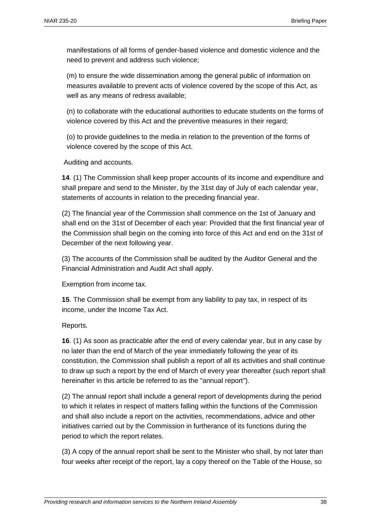manifestations of all forms of gender-based violence and domestic violence and the need to prevent and address such violence;

(m) to ensure the wide dissemination among the general public of information on measures available to prevent acts of violence covered by the scope of this Act, as well as any means of redress available;

(n) to collaborate with the educational authorities to educate students on the forms of violence covered by this Act and the preventive measures in their regard;

(o) to provide guidelines to the media in relation to the prevention of the forms of violence covered by the scope of this Act.

Auditing and accounts.

**14**. (1) The Commission shall keep proper accounts of its income and expenditure and shall prepare and send to the Minister, by the 31st day of July of each calendar year, statements of accounts in relation to the preceding financial year.

(2) The financial year of the Commission shall commence on the 1st of January and shall end on the 31st of December of each year: Provided that the first financial year of the Commission shall begin on the coming into force of this Act and end on the 31st of December of the next following year.

(3) The accounts of the Commission shall be audited by the Auditor General and the Financial Administration and Audit Act shall apply.

Exemption from income tax.

**15**. The Commission shall be exempt from any liability to pay tax, in respect of its income, under the Income Tax Act.

#### Reports.

**16**. (1) As soon as practicable after the end of every calendar year, but in any case by no later than the end of March of the year immediately following the year of its constitution, the Commission shall publish a report of all its activities and shall continue to draw up such a report by the end of March of every year thereafter (such report shall hereinafter in this article be referred to as the "annual report").

(2) The annual report shall include a general report of developments during the period to which it relates in respect of matters falling within the functions of the Commission and shall also include a report on the activities, recommendations, advice and other initiatives carried out by the Commission in furtherance of its functions during the period to which the report relates.

(3) A copy of the annual report shall be sent to the Minister who shall, by not later than four weeks after receipt of the report, lay a copy thereof on the Table of the House, so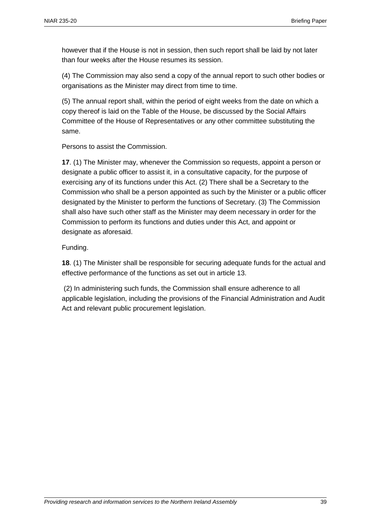however that if the House is not in session, then such report shall be laid by not later than four weeks after the House resumes its session.

(4) The Commission may also send a copy of the annual report to such other bodies or organisations as the Minister may direct from time to time.

(5) The annual report shall, within the period of eight weeks from the date on which a copy thereof is laid on the Table of the House, be discussed by the Social Affairs Committee of the House of Representatives or any other committee substituting the same.

Persons to assist the Commission.

**17**. (1) The Minister may, whenever the Commission so requests, appoint a person or designate a public officer to assist it, in a consultative capacity, for the purpose of exercising any of its functions under this Act. (2) There shall be a Secretary to the Commission who shall be a person appointed as such by the Minister or a public officer designated by the Minister to perform the functions of Secretary. (3) The Commission shall also have such other staff as the Minister may deem necessary in order for the Commission to perform its functions and duties under this Act, and appoint or designate as aforesaid.

Funding.

**18**. (1) The Minister shall be responsible for securing adequate funds for the actual and effective performance of the functions as set out in article 13.

(2) In administering such funds, the Commission shall ensure adherence to all applicable legislation, including the provisions of the Financial Administration and Audit Act and relevant public procurement legislation.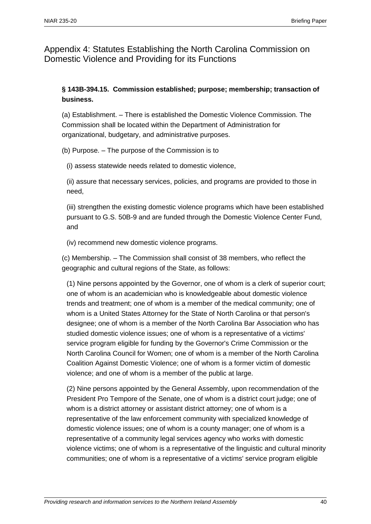Appendix 4: Statutes Establishing the North Carolina Commission on Domestic Violence and Providing for its Functions

#### **§ 143B-394.15. Commission established; purpose; membership; transaction of business.**

(a) Establishment. – There is established the Domestic Violence Commission. The Commission shall be located within the Department of Administration for organizational, budgetary, and administrative purposes.

(b) Purpose. – The purpose of the Commission is to

(i) assess statewide needs related to domestic violence,

(ii) assure that necessary services, policies, and programs are provided to those in need,

(iii) strengthen the existing domestic violence programs which have been established pursuant to G.S. 50B-9 and are funded through the Domestic Violence Center Fund, and

(iv) recommend new domestic violence programs.

(c) Membership. – The Commission shall consist of 38 members, who reflect the geographic and cultural regions of the State, as follows:

(1) Nine persons appointed by the Governor, one of whom is a clerk of superior court; one of whom is an academician who is knowledgeable about domestic violence trends and treatment; one of whom is a member of the medical community; one of whom is a United States Attorney for the State of North Carolina or that person's designee; one of whom is a member of the North Carolina Bar Association who has studied domestic violence issues; one of whom is a representative of a victims' service program eligible for funding by the Governor's Crime Commission or the North Carolina Council for Women; one of whom is a member of the North Carolina Coalition Against Domestic Violence; one of whom is a former victim of domestic violence; and one of whom is a member of the public at large.

(2) Nine persons appointed by the General Assembly, upon recommendation of the President Pro Tempore of the Senate, one of whom is a district court judge; one of whom is a district attorney or assistant district attorney; one of whom is a representative of the law enforcement community with specialized knowledge of domestic violence issues; one of whom is a county manager; one of whom is a representative of a community legal services agency who works with domestic violence victims; one of whom is a representative of the linguistic and cultural minority communities; one of whom is a representative of a victims' service program eligible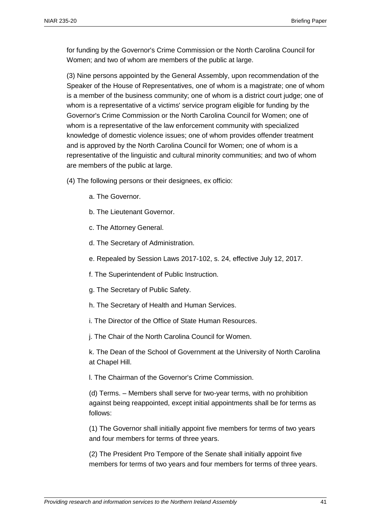for funding by the Governor's Crime Commission or the North Carolina Council for Women; and two of whom are members of the public at large.

(3) Nine persons appointed by the General Assembly, upon recommendation of the Speaker of the House of Representatives, one of whom is a magistrate; one of whom is a member of the business community; one of whom is a district court judge; one of whom is a representative of a victims' service program eligible for funding by the Governor's Crime Commission or the North Carolina Council for Women; one of whom is a representative of the law enforcement community with specialized knowledge of domestic violence issues; one of whom provides offender treatment and is approved by the North Carolina Council for Women; one of whom is a representative of the linguistic and cultural minority communities; and two of whom are members of the public at large.

- (4) The following persons or their designees, ex officio:
	- a. The Governor.
	- b. The Lieutenant Governor.
	- c. The Attorney General.
	- d. The Secretary of Administration.
	- e. Repealed by Session Laws 2017-102, s. 24, effective July 12, 2017.
	- f. The Superintendent of Public Instruction.
	- g. The Secretary of Public Safety.
	- h. The Secretary of Health and Human Services.
	- i. The Director of the Office of State Human Resources.
	- j. The Chair of the North Carolina Council for Women.

k. The Dean of the School of Government at the University of North Carolina at Chapel Hill.

l. The Chairman of the Governor's Crime Commission.

(d) Terms. – Members shall serve for two-year terms, with no prohibition against being reappointed, except initial appointments shall be for terms as follows:

(1) The Governor shall initially appoint five members for terms of two years and four members for terms of three years.

(2) The President Pro Tempore of the Senate shall initially appoint five members for terms of two years and four members for terms of three years.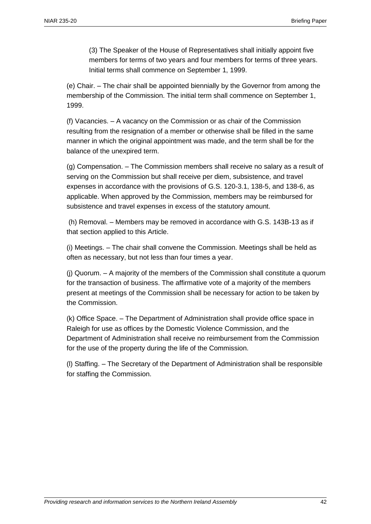(3) The Speaker of the House of Representatives shall initially appoint five members for terms of two years and four members for terms of three years. Initial terms shall commence on September 1, 1999.

(e) Chair. – The chair shall be appointed biennially by the Governor from among the membership of the Commission. The initial term shall commence on September 1, 1999.

(f) Vacancies. – A vacancy on the Commission or as chair of the Commission resulting from the resignation of a member or otherwise shall be filled in the same manner in which the original appointment was made, and the term shall be for the balance of the unexpired term.

(g) Compensation. – The Commission members shall receive no salary as a result of serving on the Commission but shall receive per diem, subsistence, and travel expenses in accordance with the provisions of G.S. 120-3.1, 138-5, and 138-6, as applicable. When approved by the Commission, members may be reimbursed for subsistence and travel expenses in excess of the statutory amount.

(h) Removal. – Members may be removed in accordance with G.S. 143B-13 as if that section applied to this Article.

(i) Meetings. – The chair shall convene the Commission. Meetings shall be held as often as necessary, but not less than four times a year.

(j) Quorum. – A majority of the members of the Commission shall constitute a quorum for the transaction of business. The affirmative vote of a majority of the members present at meetings of the Commission shall be necessary for action to be taken by the Commission.

(k) Office Space. – The Department of Administration shall provide office space in Raleigh for use as offices by the Domestic Violence Commission, and the Department of Administration shall receive no reimbursement from the Commission for the use of the property during the life of the Commission.

(l) Staffing. – The Secretary of the Department of Administration shall be responsible for staffing the Commission.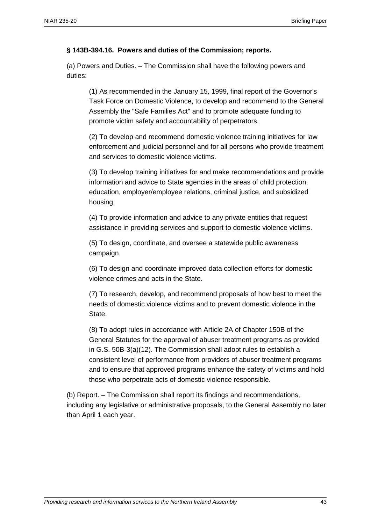#### **§ 143B-394.16. Powers and duties of the Commission; reports.**

(a) Powers and Duties. – The Commission shall have the following powers and duties:

(1) As recommended in the January 15, 1999, final report of the Governor's Task Force on Domestic Violence, to develop and recommend to the General Assembly the "Safe Families Act" and to promote adequate funding to promote victim safety and accountability of perpetrators.

(2) To develop and recommend domestic violence training initiatives for law enforcement and judicial personnel and for all persons who provide treatment and services to domestic violence victims.

(3) To develop training initiatives for and make recommendations and provide information and advice to State agencies in the areas of child protection, education, employer/employee relations, criminal justice, and subsidized housing.

(4) To provide information and advice to any private entities that request assistance in providing services and support to domestic violence victims.

(5) To design, coordinate, and oversee a statewide public awareness campaign.

(6) To design and coordinate improved data collection efforts for domestic violence crimes and acts in the State.

(7) To research, develop, and recommend proposals of how best to meet the needs of domestic violence victims and to prevent domestic violence in the State.

(8) To adopt rules in accordance with Article 2A of Chapter 150B of the General Statutes for the approval of abuser treatment programs as provided in G.S. 50B-3(a)(12). The Commission shall adopt rules to establish a consistent level of performance from providers of abuser treatment programs and to ensure that approved programs enhance the safety of victims and hold those who perpetrate acts of domestic violence responsible.

(b) Report. – The Commission shall report its findings and recommendations, including any legislative or administrative proposals, to the General Assembly no later than April 1 each year.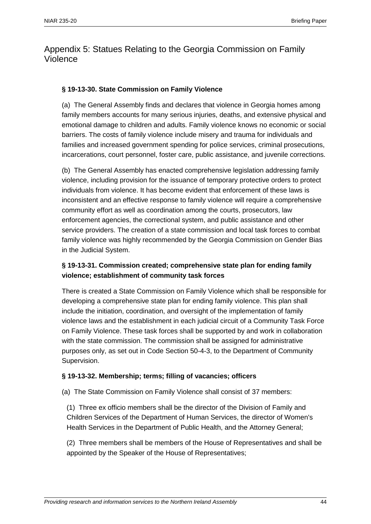## Appendix 5: Statues Relating to the Georgia Commission on Family Violence

#### **§ 19-13-30. State Commission on Family Violence**

(a) The General Assembly finds and declares that violence in Georgia homes among family members accounts for many serious injuries, deaths, and extensive physical and emotional damage to children and adults. Family violence knows no economic or social barriers. The costs of family violence include misery and trauma for individuals and families and increased government spending for police services, criminal prosecutions, incarcerations, court personnel, foster care, public assistance, and juvenile corrections.

(b) The General Assembly has enacted comprehensive legislation addressing family violence, including provision for the issuance of temporary protective orders to protect individuals from violence. It has become evident that enforcement of these laws is inconsistent and an effective response to family violence will require a comprehensive community effort as well as coordination among the courts, prosecutors, law enforcement agencies, the correctional system, and public assistance and other service providers. The creation of a state commission and local task forces to combat family violence was highly recommended by the Georgia Commission on Gender Bias in the Judicial System.

#### **§ 19-13-31. Commission created; comprehensive state plan for ending family violence; establishment of community task forces**

There is created a State Commission on Family Violence which shall be responsible for developing a comprehensive state plan for ending family violence. This plan shall include the initiation, coordination, and oversight of the implementation of family violence laws and the establishment in each judicial circuit of a Community Task Force on Family Violence. These task forces shall be supported by and work in collaboration with the state commission. The commission shall be assigned for administrative purposes only, as set out in Code Section 50-4-3, to the Department of Community Supervision.

#### **§ 19-13-32. Membership; terms; filling of vacancies; officers**

(a) The State Commission on Family Violence shall consist of 37 members:

(1) Three ex officio members shall be the director of the Division of Family and Children Services of the Department of Human Services, the director of Women's Health Services in the Department of Public Health, and the Attorney General;

(2) Three members shall be members of the House of Representatives and shall be appointed by the Speaker of the House of Representatives;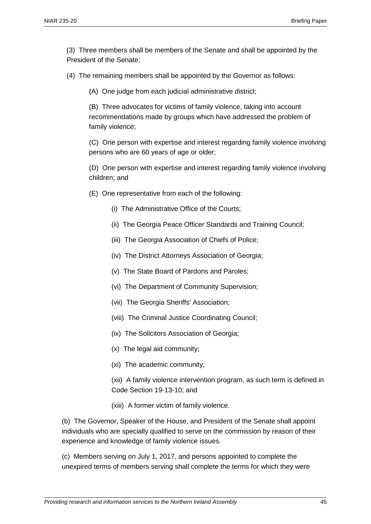(3) Three members shall be members of the Senate and shall be appointed by the President of the Senate;

(4) The remaining members shall be appointed by the Governor as follows:

(A) One judge from each judicial administrative district;

(B) Three advocates for victims of family violence, taking into account recommendations made by groups which have addressed the problem of family violence;

(C) One person with expertise and interest regarding family violence involving persons who are 60 years of age or older;

(D) One person with expertise and interest regarding family violence involving children; and

- (E) One representative from each of the following:
	- (i) The Administrative Office of the Courts;
	- (ii) The Georgia Peace Officer Standards and Training Council;
	- (iii) The Georgia Association of Chiefs of Police;
	- (iv) The District Attorneys Association of Georgia;
	- (v) The State Board of Pardons and Paroles;
	- (vi) The Department of Community Supervision;
	- (vii) The Georgia Sheriffs' Association;
	- (viii) The Criminal Justice Coordinating Council;
	- (ix) The Solicitors Association of Georgia;
	- (x) The legal aid community;
	- (xi) The academic community;
	- (xii) A family violence intervention program, as such term is defined in Code Section 19-13-10; and
	- (xiii) A former victim of family violence.

(b) The Governor, Speaker of the House, and President of the Senate shall appoint individuals who are specially qualified to serve on the commission by reason of their experience and knowledge of family violence issues.

(c) Members serving on July 1, 2017, and persons appointed to complete the unexpired terms of members serving shall complete the terms for which they were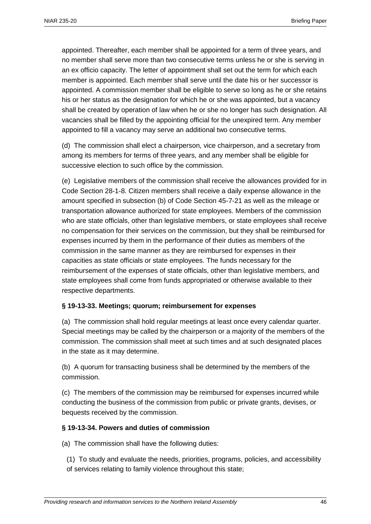appointed. Thereafter, each member shall be appointed for a term of three years, and no member shall serve more than two consecutive terms unless he or she is serving in an ex officio capacity. The letter of appointment shall set out the term for which each member is appointed. Each member shall serve until the date his or her successor is appointed. A commission member shall be eligible to serve so long as he or she retains his or her status as the designation for which he or she was appointed, but a vacancy shall be created by operation of law when he or she no longer has such designation. All vacancies shall be filled by the appointing official for the unexpired term. Any member appointed to fill a vacancy may serve an additional two consecutive terms.

(d) The commission shall elect a chairperson, vice chairperson, and a secretary from among its members for terms of three years, and any member shall be eligible for successive election to such office by the commission.

(e) Legislative members of the commission shall receive the allowances provided for in Code Section 28-1-8. Citizen members shall receive a daily expense allowance in the amount specified in subsection (b) of Code Section 45-7-21 as well as the mileage or transportation allowance authorized for state employees. Members of the commission who are state officials, other than legislative members, or state employees shall receive no compensation for their services on the commission, but they shall be reimbursed for expenses incurred by them in the performance of their duties as members of the commission in the same manner as they are reimbursed for expenses in their capacities as state officials or state employees. The funds necessary for the reimbursement of the expenses of state officials, other than legislative members, and state employees shall come from funds appropriated or otherwise available to their respective departments.

#### **§ 19-13-33. Meetings; quorum; reimbursement for expenses**

(a) The commission shall hold regular meetings at least once every calendar quarter. Special meetings may be called by the chairperson or a majority of the members of the commission. The commission shall meet at such times and at such designated places in the state as it may determine.

(b) A quorum for transacting business shall be determined by the members of the commission.

(c) The members of the commission may be reimbursed for expenses incurred while conducting the business of the commission from public or private grants, devises, or bequests received by the commission.

#### **§ 19-13-34. Powers and duties of commission**

(a) The commission shall have the following duties:

(1) To study and evaluate the needs, priorities, programs, policies, and accessibility of services relating to family violence throughout this state;